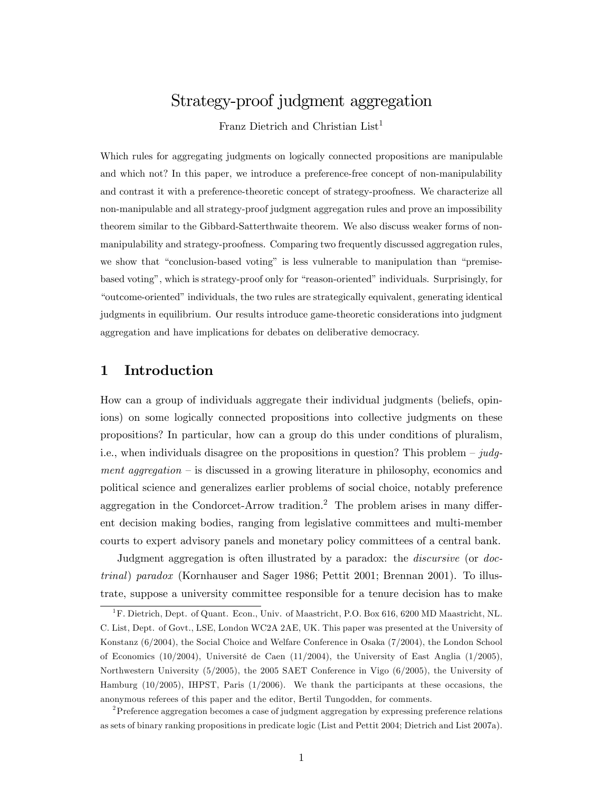# Strategy-proof judgment aggregation

Franz Dietrich and Christian List<sup>1</sup>

Which rules for aggregating judgments on logically connected propositions are manipulable and which not? In this paper, we introduce a preference-free concept of non-manipulability and contrast it with a preference-theoretic concept of strategy-proofness. We characterize all non-manipulable and all strategy-proof judgment aggregation rules and prove an impossibility theorem similar to the Gibbard-Satterthwaite theorem. We also discuss weaker forms of nonmanipulability and strategy-proofness. Comparing two frequently discussed aggregation rules, we show that "conclusion-based voting" is less vulnerable to manipulation than "premisebased voting", which is strategy-proof only for "reason-oriented" individuals. Surprisingly, for ìoutcome-orientedîindividuals, the two rules are strategically equivalent, generating identical judgments in equilibrium. Our results introduce game-theoretic considerations into judgment aggregation and have implications for debates on deliberative democracy.

### 1 Introduction

How can a group of individuals aggregate their individual judgments (beliefs, opinions) on some logically connected propositions into collective judgments on these propositions? In particular, how can a group do this under conditions of pluralism, i.e., when individuals disagree on the propositions in question? This problem  $-$  judgment aggregation  $\overline{\phantom{a}}$  is discussed in a growing literature in philosophy, economics and political science and generalizes earlier problems of social choice, notably preference aggregation in the Condorcet-Arrow tradition.<sup>2</sup> The problem arises in many different decision making bodies, ranging from legislative committees and multi-member courts to expert advisory panels and monetary policy committees of a central bank.

Judgment aggregation is often illustrated by a paradox: the discursive (or doctrinal) paradox (Kornhauser and Sager 1986; Pettit 2001; Brennan 2001). To illustrate, suppose a university committee responsible for a tenure decision has to make

<sup>&</sup>lt;sup>1</sup>F. Dietrich, Dept. of Quant. Econ., Univ. of Maastricht, P.O. Box 616, 6200 MD Maastricht, NL. C. List, Dept. of Govt., LSE, London WC2A 2AE, UK. This paper was presented at the University of Konstanz (6/2004), the Social Choice and Welfare Conference in Osaka (7/2004), the London School of Economics (10/2004), Université de Caen (11/2004), the University of East Anglia (1/2005), Northwestern University (5/2005), the 2005 SAET Conference in Vigo (6/2005), the University of Hamburg (10/2005), IHPST, Paris (1/2006). We thank the participants at these occasions, the anonymous referees of this paper and the editor, Bertil Tungodden, for comments.

<sup>2</sup>Preference aggregation becomes a case of judgment aggregation by expressing preference relations as sets of binary ranking propositions in predicate logic (List and Pettit 2004; Dietrich and List 2007a).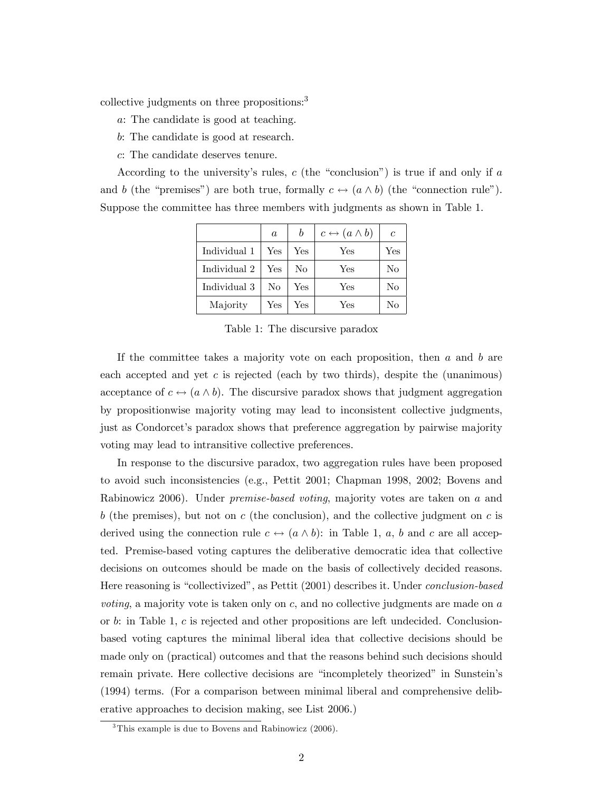collective judgments on three propositions:<sup>3</sup>

- a: The candidate is good at teaching.
- b: The candidate is good at research.
- c: The candidate deserves tenure.

According to the university's rules,  $c$  (the "conclusion") is true if and only if  $a$ and b (the "premises") are both true, formally  $c \leftrightarrow (a \wedge b)$  (the "connection rule"). Suppose the committee has three members with judgments as shown in Table 1.

|              | $\boldsymbol{a}$ | b   | $c \leftrightarrow (a \wedge b)$ | $\epsilon$ |
|--------------|------------------|-----|----------------------------------|------------|
| Individual 1 | Yes              | Yes | Yes                              | Yes        |
| Individual 2 | Yes              | No  | Yes                              | No         |
| Individual 3 | No               | Yes | Yes                              | No         |
| Majority     | Yes              | Yes | Yes                              | No         |

Table 1: The discursive paradox

If the committee takes a majority vote on each proposition, then  $a$  and  $b$  are each accepted and yet c is rejected (each by two thirds), despite the (unanimous) acceptance of  $c \leftrightarrow (a \wedge b)$ . The discursive paradox shows that judgment aggregation by propositionwise majority voting may lead to inconsistent collective judgments, just as Condorcetís paradox shows that preference aggregation by pairwise majority voting may lead to intransitive collective preferences.

In response to the discursive paradox, two aggregation rules have been proposed to avoid such inconsistencies (e.g., Pettit 2001; Chapman 1998, 2002; Bovens and Rabinowicz 2006). Under premise-based voting, majority votes are taken on a and b (the premises), but not on c (the conclusion), and the collective judgment on c is derived using the connection rule  $c \leftrightarrow (a \wedge b)$ : in Table 1, a, b and c are all accepted. Premise-based voting captures the deliberative democratic idea that collective decisions on outcomes should be made on the basis of collectively decided reasons. Here reasoning is "collectivized", as Pettit (2001) describes it. Under *conclusion-based voting*, a majority vote is taken only on  $c$ , and no collective judgments are made on  $a$ or b: in Table 1, c is rejected and other propositions are left undecided. Conclusionbased voting captures the minimal liberal idea that collective decisions should be made only on (practical) outcomes and that the reasons behind such decisions should remain private. Here collective decisions are "incompletely theorized" in Sunstein's (1994) terms. (For a comparison between minimal liberal and comprehensive deliberative approaches to decision making, see List 2006.)

<sup>3</sup>This example is due to Bovens and Rabinowicz (2006).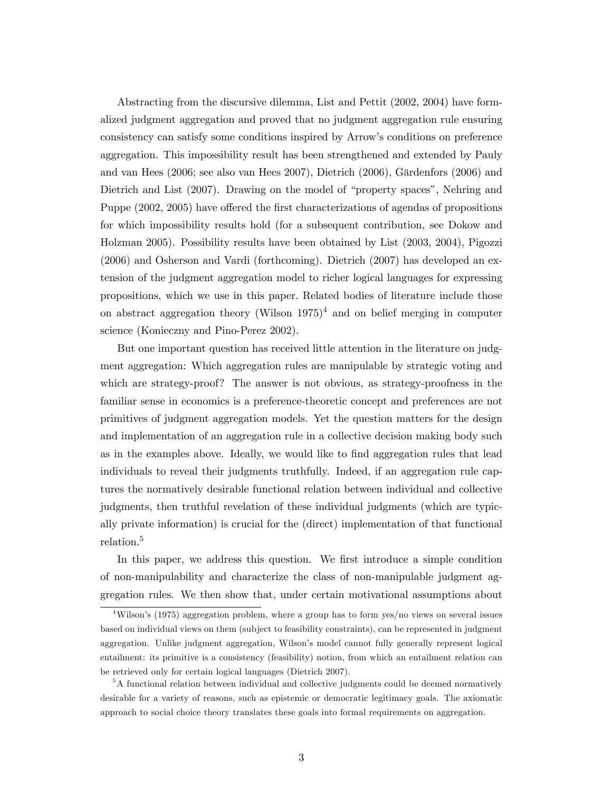Abstracting from the discursive dilemma, List and Pettit (2002, 2004) have formalized judgment aggregation and proved that no judgment aggregation rule ensuring consistency can satisfy some conditions inspired by Arrow's conditions on preference aggregation. This impossibility result has been strengthened and extended by Pauly and van Hees  $(2006; \text{ see also van Hees } 2007)$ , Dietrich  $(2006)$ , Gärdenfors  $(2006)$  and Dietrich and List  $(2007)$ . Drawing on the model of "property spaces", Nehring and Puppe  $(2002, 2005)$  have offered the first characterizations of agendas of propositions for which impossibility results hold (for a subsequent contribution, see Dokow and Holzman 2005). Possibility results have been obtained by List (2003, 2004), Pigozzi (2006) and Osherson and Vardi (forthcoming). Dietrich (2007) has developed an extension of the judgment aggregation model to richer logical languages for expressing propositions, which we use in this paper. Related bodies of literature include those on abstract aggregation theory (Wilson  $1975$ )<sup>4</sup> and on belief merging in computer science (Konieczny and Pino-Perez 2002).

But one important question has received little attention in the literature on judgment aggregation: Which aggregation rules are manipulable by strategic voting and which are strategy-proof? The answer is not obvious, as strategy-proofness in the familiar sense in economics is a preference-theoretic concept and preferences are not primitives of judgment aggregation models. Yet the question matters for the design and implementation of an aggregation rule in a collective decision making body such as in the examples above. Ideally, we would like to find aggregation rules that lead individuals to reveal their judgments truthfully. Indeed, if an aggregation rule captures the normatively desirable functional relation between individual and collective judgments, then truthful revelation of these individual judgments (which are typically private information) is crucial for the (direct) implementation of that functional relation.<sup>5</sup>

In this paper, we address this question. We first introduce a simple condition of non-manipulability and characterize the class of non-manipulable judgment aggregation rules. We then show that, under certain motivational assumptions about

 $4$ Wilson's (1975) aggregation problem, where a group has to form yes/no views on several issues based on individual views on them (subject to feasibility constraints), can be represented in judgment aggregation. Unlike judgment aggregation, Wilson's model cannot fully generally represent logical entailment: its primitive is a consistency (feasibility) notion, from which an entailment relation can be retrieved only for certain logical languages (Dietrich 2007).

<sup>&</sup>lt;sup>5</sup>A functional relation between individual and collective judgments could be deemed normatively desirable for a variety of reasons, such as epistemic or democratic legitimacy goals. The axiomatic approach to social choice theory translates these goals into formal requirements on aggregation.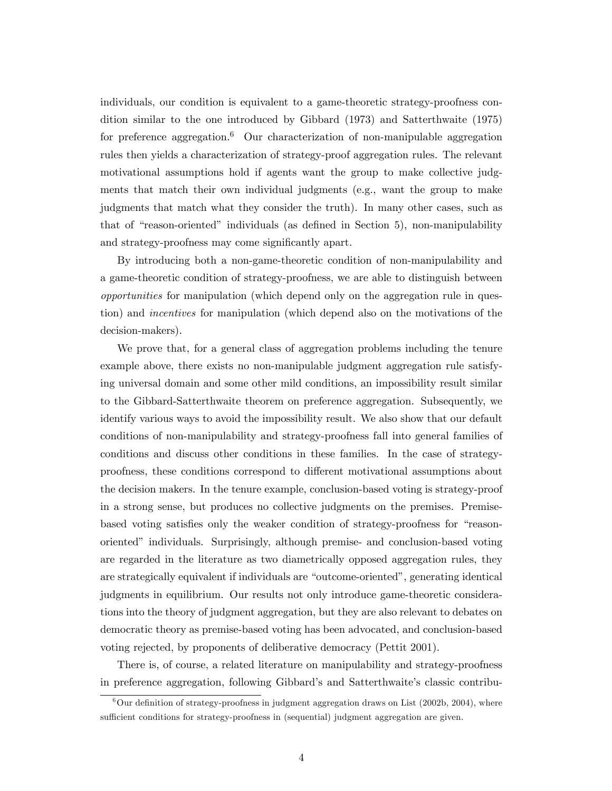individuals, our condition is equivalent to a game-theoretic strategy-proofness condition similar to the one introduced by Gibbard (1973) and Satterthwaite (1975) for preference aggregation.<sup>6</sup> Our characterization of non-manipulable aggregation rules then yields a characterization of strategy-proof aggregation rules. The relevant motivational assumptions hold if agents want the group to make collective judgments that match their own individual judgments (e.g., want the group to make judgments that match what they consider the truth). In many other cases, such as that of "reason-oriented" individuals (as defined in Section 5), non-manipulability and strategy-proofness may come significantly apart.

By introducing both a non-game-theoretic condition of non-manipulability and a game-theoretic condition of strategy-proofness, we are able to distinguish between opportunities for manipulation (which depend only on the aggregation rule in question) and incentives for manipulation (which depend also on the motivations of the decision-makers).

We prove that, for a general class of aggregation problems including the tenure example above, there exists no non-manipulable judgment aggregation rule satisfying universal domain and some other mild conditions, an impossibility result similar to the Gibbard-Satterthwaite theorem on preference aggregation. Subsequently, we identify various ways to avoid the impossibility result. We also show that our default conditions of non-manipulability and strategy-proofness fall into general families of conditions and discuss other conditions in these families. In the case of strategyproofness, these conditions correspond to different motivational assumptions about the decision makers. In the tenure example, conclusion-based voting is strategy-proof in a strong sense, but produces no collective judgments on the premises. Premisebased voting satisfies only the weaker condition of strategy-proofness for "reasonorientedî individuals. Surprisingly, although premise- and conclusion-based voting are regarded in the literature as two diametrically opposed aggregation rules, they are strategically equivalent if individuals are "outcome-oriented", generating identical judgments in equilibrium. Our results not only introduce game-theoretic considerations into the theory of judgment aggregation, but they are also relevant to debates on democratic theory as premise-based voting has been advocated, and conclusion-based voting rejected, by proponents of deliberative democracy (Pettit 2001).

There is, of course, a related literature on manipulability and strategy-proofness in preference aggregation, following Gibbard's and Satterthwaite's classic contribu-

 $6$ Our definition of strategy-proofness in judgment aggregation draws on List (2002b, 2004), where sufficient conditions for strategy-proofness in (sequential) judgment aggregation are given.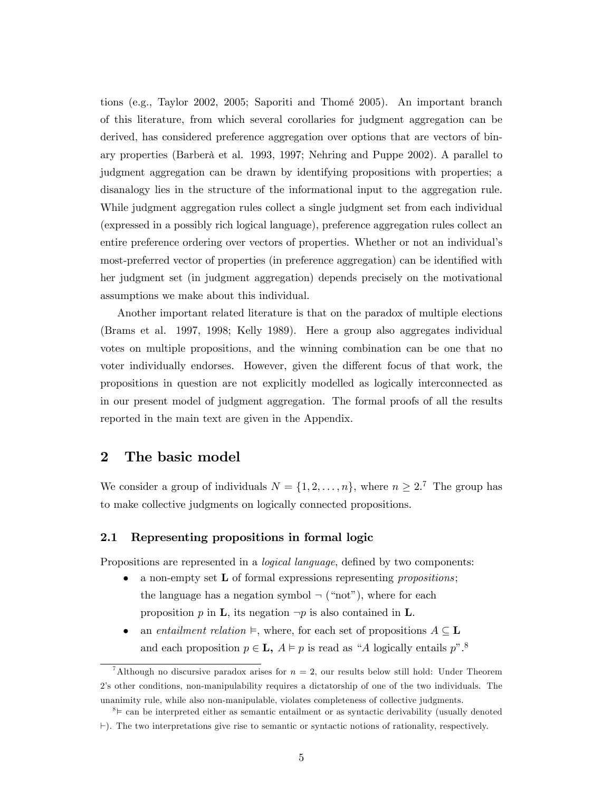tions (e.g., Taylor 2002, 2005; Saporiti and ThomÈ 2005). An important branch of this literature, from which several corollaries for judgment aggregation can be derived, has considered preference aggregation over options that are vectors of binary properties (Barberà et al. 1993, 1997; Nehring and Puppe 2002). A parallel to judgment aggregation can be drawn by identifying propositions with properties; a disanalogy lies in the structure of the informational input to the aggregation rule. While judgment aggregation rules collect a single judgment set from each individual (expressed in a possibly rich logical language), preference aggregation rules collect an entire preference ordering over vectors of properties. Whether or not an individual's most-preferred vector of properties (in preference aggregation) can be identified with her judgment set (in judgment aggregation) depends precisely on the motivational assumptions we make about this individual.

Another important related literature is that on the paradox of multiple elections (Brams et al. 1997, 1998; Kelly 1989). Here a group also aggregates individual votes on multiple propositions, and the winning combination can be one that no voter individually endorses. However, given the different focus of that work, the propositions in question are not explicitly modelled as logically interconnected as in our present model of judgment aggregation. The formal proofs of all the results reported in the main text are given in the Appendix.

### 2 The basic model

We consider a group of individuals  $N = \{1, 2, ..., n\}$ , where  $n \geq 2$ .<sup>7</sup> The group has to make collective judgments on logically connected propositions.

### 2.1 Representing propositions in formal logic

Propositions are represented in a *logical language*, defined by two components:

- a non-empty set **L** of formal expressions representing *propositions*; the language has a negation symbol  $\neg$  ("not"), where for each proposition p in **L**, its negation  $\neg p$  is also contained in **L**.
- an entailment relation  $\vDash$ , where, for each set of propositions  $A \subseteq L$ and each proposition  $p \in \mathbf{L}$ ,  $A \models p$  is read as "A logically entails  $p$ ".<sup>8</sup>

<sup>&</sup>lt;sup>7</sup>Although no discursive paradox arises for  $n = 2$ , our results below still hold: Under Theorem 2ís other conditions, non-manipulability requires a dictatorship of one of the two individuals. The unanimity rule, while also non-manipulable, violates completeness of collective judgments.

 $8 \models$  can be interpreted either as semantic entailment or as syntactic derivability (usually denoted `). The two interpretations give rise to semantic or syntactic notions of rationality, respectively.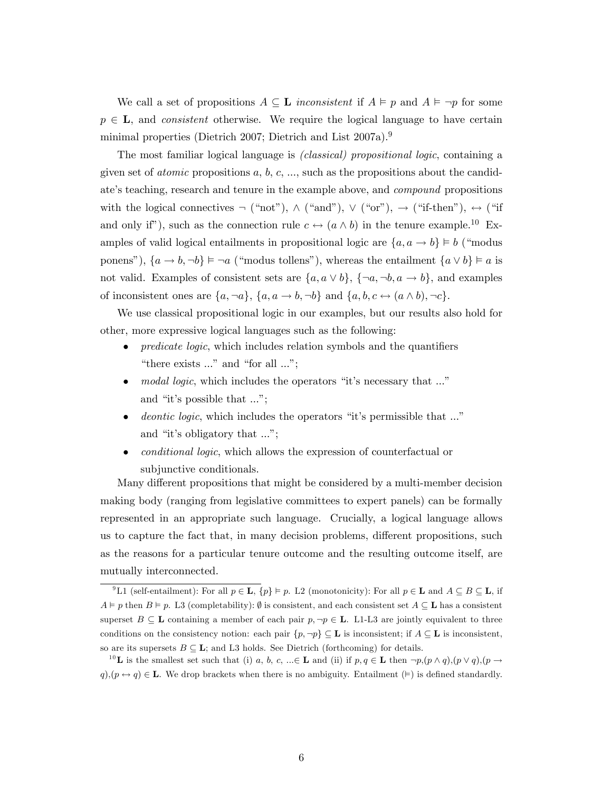We call a set of propositions  $A \subseteq L$  inconsistent if  $A \models p$  and  $A \models \neg p$  for some  $p \in L$ , and *consistent* otherwise. We require the logical language to have certain minimal properties (Dietrich 2007; Dietrich and List 2007a).<sup>9</sup>

The most familiar logical language is (classical) propositional logic, containing a given set of *atomic* propositions  $a, b, c, \ldots$ , such as the propositions about the candidate's teaching, research and tenure in the example above, and *compound* propositions with the logical connectives  $\neg$  ("not"),  $\wedge$  ("and"),  $\vee$  ("or"),  $\rightarrow$  ("if-then"),  $\leftrightarrow$  ("if and only if"), such as the connection rule  $c \leftrightarrow (a \wedge b)$  in the tenure example.<sup>10</sup> Examples of valid logical entailments in propositional logic are  $\{a, a \rightarrow b\} \models b$  ("modus ponens"),  $\{a \to b, \neg b\} \models \neg a$  ("modus tollens"), whereas the entailment  $\{a \lor b\} \models a$  is not valid. Examples of consistent sets are  $\{a, a \vee b\}, \{\neg a, \neg b, a \rightarrow b\}$ , and examples of inconsistent ones are  $\{a, \neg a\}$ ,  $\{a, a \rightarrow b, \neg b\}$  and  $\{a, b, c \leftrightarrow (a \wedge b), \neg c\}.$ 

We use classical propositional logic in our examples, but our results also hold for other, more expressive logical languages such as the following:

- predicate logic, which includes relation symbols and the quantifiers "there exists  $\ldots$ " and "for all  $\ldots$ ";
- modal logic, which includes the operators "it's necessary that  $\ldots$ " and "it's possible that  $\ldots$ ";
- $\bullet$  deontic logic, which includes the operators "it's permissible that ..." and "it's obligatory that ...";
- *conditional logic*, which allows the expression of counterfactual or subjunctive conditionals.

Many different propositions that might be considered by a multi-member decision making body (ranging from legislative committees to expert panels) can be formally represented in an appropriate such language. Crucially, a logical language allows us to capture the fact that, in many decision problems, different propositions, such as the reasons for a particular tenure outcome and the resulting outcome itself, are mutually interconnected.

<sup>&</sup>lt;sup>9</sup>L1 (self-entailment): For all  $p \in L$ ,  $\{p\} \models p$ . L2 (monotonicity): For all  $p \in L$  and  $A \subseteq B \subseteq L$ , if  $A \models p$  then  $B \models p$ . L3 (completability):  $\emptyset$  is consistent, and each consistent set  $A \subseteq L$  has a consistent superset  $B \subseteq L$  containing a member of each pair  $p, \neg p \in L$ . L1-L3 are jointly equivalent to three conditions on the consistency notion: each pair  $\{p, \neg p\} \subseteq L$  is inconsistent; if  $A \subseteq L$  is inconsistent, so are its supersets  $B \subseteq L$ ; and L3 holds. See Dietrich (forthcoming) for details.

<sup>&</sup>lt;sup>10</sup>**L** is the smallest set such that (i) a, b, c, ...  $\in$  **L** and (ii) if  $p, q \in$  **L** then  $\neg p, (p \wedge q), (p \vee q), (p \rightarrow$  $q$ ,  $(p \leftrightarrow q) \in L$ . We drop brackets when there is no ambiguity. Entailment  $(\vDash)$  is defined standardly.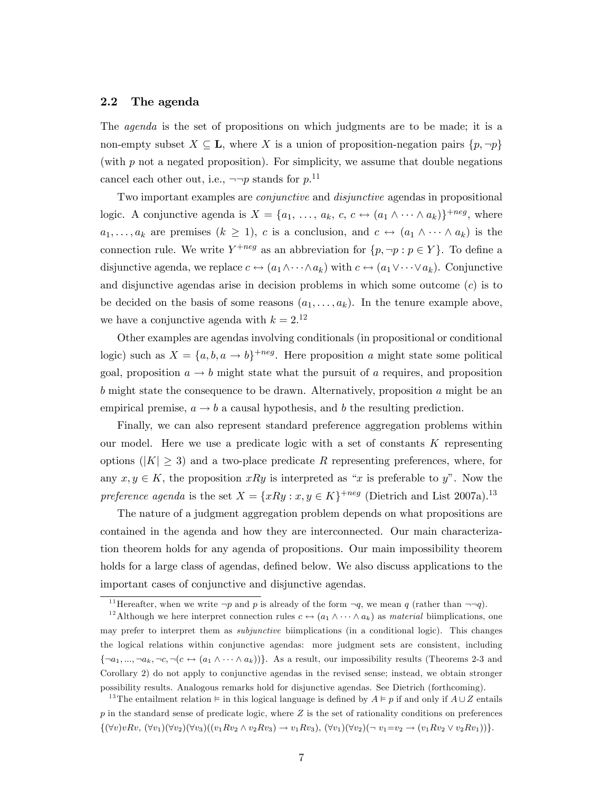### 2.2 The agenda

The agenda is the set of propositions on which judgments are to be made; it is a non-empty subset  $X \subseteq L$ , where X is a union of proposition-negation pairs  $\{p, \neg p\}$ (with  $p$  not a negated proposition). For simplicity, we assume that double negations cancel each other out, i.e.,  $\neg\neg p$  stands for  $p$ .<sup>11</sup>

Two important examples are conjunctive and disjunctive agendas in propositional logic. A conjunctive agenda is  $X = \{a_1, \ldots, a_k, c, c \leftrightarrow (a_1 \wedge \cdots \wedge a_k)\}^{+neg}$ , where  $a_1, \ldots, a_k$  are premises  $(k \geq 1)$ , c is a conclusion, and  $c \leftrightarrow (a_1 \wedge \cdots \wedge a_k)$  is the connection rule. We write  $Y^{+neg}$  as an abbreviation for  $\{p, \neg p : p \in Y\}$ . To define a disjunctive agenda, we replace  $c \leftrightarrow (a_1 \wedge \cdots \wedge a_k)$  with  $c \leftrightarrow (a_1 \vee \cdots \vee a_k)$ . Conjunctive and disjunctive agendas arise in decision problems in which some outcome  $(c)$  is to be decided on the basis of some reasons  $(a_1, \ldots, a_k)$ . In the tenure example above, we have a conjunctive agenda with  $k = 2$ .<sup>12</sup>

Other examples are agendas involving conditionals (in propositional or conditional logic) such as  $X = \{a, b, a \rightarrow b\}^{+neg}$ . Here proposition a might state some political goal, proposition  $a \rightarrow b$  might state what the pursuit of a requires, and proposition b might state the consequence to be drawn. Alternatively, proposition a might be an empirical premise,  $a \rightarrow b$  a causal hypothesis, and b the resulting prediction.

Finally, we can also represent standard preference aggregation problems within our model. Here we use a predicate logic with a set of constants  $K$  representing options ( $|K| \geq 3$ ) and a two-place predicate R representing preferences, where, for any  $x, y \in K$ , the proposition  $xRy$  is interpreted as "x is preferable to y". Now the preference agenda is the set  $X = \{xRy : x, y \in K\}^{+neg}$  (Dietrich and List 2007a).<sup>13</sup>

The nature of a judgment aggregation problem depends on what propositions are contained in the agenda and how they are interconnected. Our main characterization theorem holds for any agenda of propositions. Our main impossibility theorem holds for a large class of agendas, defined below. We also discuss applications to the important cases of conjunctive and disjunctive agendas.

<sup>&</sup>lt;sup>11</sup> Hereafter, when we write  $\neg p$  and p is already of the form  $\neg q$ , we mean q (rather than  $\neg \neg q$ ).

<sup>&</sup>lt;sup>12</sup> Although we here interpret connection rules  $c \leftrightarrow (a_1 \wedge \cdots \wedge a_k)$  as *material* biimplications, one may prefer to interpret them as subjunctive biimplications (in a conditional logic). This changes the logical relations within conjunctive agendas: more judgment sets are consistent, including  $\{\neg a_1, ..., \neg a_k, \neg c, \neg (c \leftrightarrow (a_1 \wedge \cdots \wedge a_k))\}.$  As a result, our impossibility results (Theorems 2-3 and Corollary 2) do not apply to conjunctive agendas in the revised sense; instead, we obtain stronger possibility results. Analogous remarks hold for disjunctive agendas. See Dietrich (forthcoming).

<sup>&</sup>lt;sup>13</sup>The entailment relation  $\models$  in this logical language is defined by  $A \models p$  if and only if  $A \cup Z$  entails  $p$  in the standard sense of predicate logic, where  $Z$  is the set of rationality conditions on preferences  $\{(\forall v)vRv, (\forall v_1)(\forall v_2)(\forall v_3)((v_1Rv_2 \wedge v_2Rv_3) \rightarrow v_1Rv_3), (\forall v_1)(\forall v_2)(\neg v_1=v_2 \rightarrow (v_1Rv_2 \vee v_2Rv_1))\}.$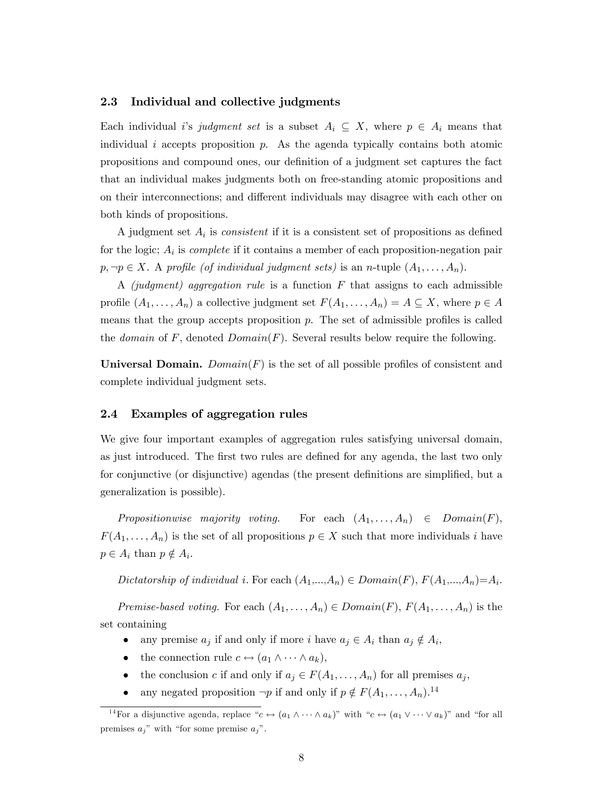#### 2.3 Individual and collective judgments

Each individual i's judgment set is a subset  $A_i \subseteq X$ , where  $p \in A_i$  means that individual i accepts proposition  $p$ . As the agenda typically contains both atomic propositions and compound ones, our deÖnition of a judgment set captures the fact that an individual makes judgments both on free-standing atomic propositions and on their interconnections; and different individuals may disagree with each other on both kinds of propositions.

A judgment set  $A_i$  is *consistent* if it is a consistent set of propositions as defined for the logic;  $A_i$  is *complete* if it contains a member of each proposition-negation pair  $p, \neg p \in X$ . A profile (of individual judgment sets) is an n-tuple  $(A_1, \ldots, A_n)$ .

A (judgment) aggregation rule is a function  $F$  that assigns to each admissible profile  $(A_1, \ldots, A_n)$  a collective judgment set  $F(A_1, \ldots, A_n) = A \subseteq X$ , where  $p \in A$ means that the group accepts proposition  $p$ . The set of admissible profiles is called the *domain* of F, denoted  $Domain(F)$ . Several results below require the following.

**Universal Domain.**  $Domain(F)$  is the set of all possible profiles of consistent and complete individual judgment sets.

### 2.4 Examples of aggregation rules

We give four important examples of aggregation rules satisfying universal domain, as just introduced. The first two rules are defined for any agenda, the last two only for conjunctive (or disjunctive) agendas (the present definitions are simplified, but a generalization is possible).

Propositionwise majority voting. For each  $(A_1, \ldots, A_n) \in Domain(F)$ ,  $F(A_1, \ldots, A_n)$  is the set of all propositions  $p \in X$  such that more individuals i have  $p \in A_i$  than  $p \notin A_i$ .

Dictatorship of individual i. For each  $(A_1,...,A_n) \in Domain(F)$ ,  $F(A_1,...,A_n)=A_i$ .

Premise-based voting. For each  $(A_1, \ldots, A_n) \in Domain(F)$ ,  $F(A_1, \ldots, A_n)$  is the set containing

- any premise  $a_j$  if and only if more i have  $a_j \in A_i$  than  $a_j \notin A_i$ ,
- the connection rule  $c \leftrightarrow (a_1 \wedge \cdots \wedge a_k),$
- the conclusion c if and only if  $a_j \in F(A_1, \ldots, A_n)$  for all premises  $a_j$ ,
- any negated proposition  $\neg p$  if and only if  $p \notin F(A_1, \ldots, A_n)$ .<sup>14</sup>

<sup>&</sup>lt;sup>14</sup>For a disjunctive agenda, replace " $c \leftrightarrow (a_1 \wedge \cdots \wedge a_k)$ " with " $c \leftrightarrow (a_1 \vee \cdots \vee a_k)$ " and "for all premises  $a_j$ " with "for some premise  $a_j$ ".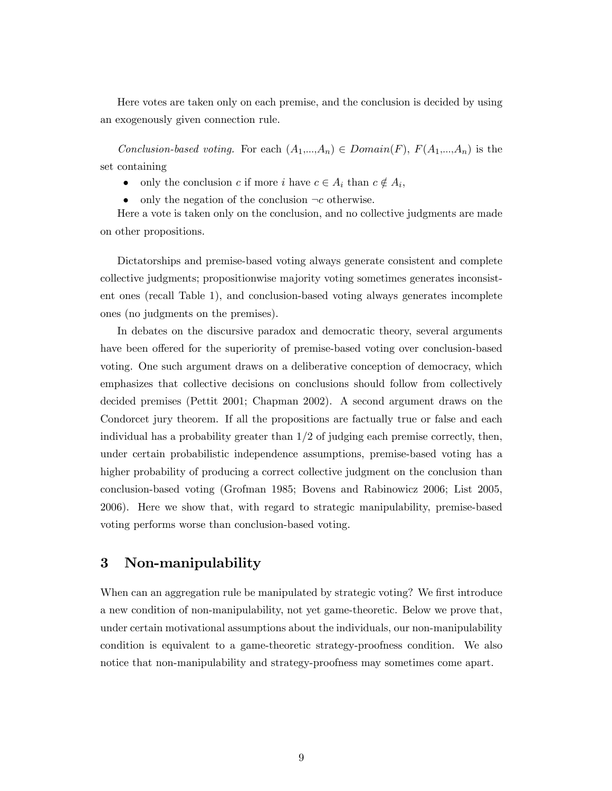Here votes are taken only on each premise, and the conclusion is decided by using an exogenously given connection rule.

Conclusion-based voting. For each  $(A_1,...,A_n) \in Domain(F)$ ,  $F(A_1,...,A_n)$  is the set containing

- only the conclusion c if more i have  $c \in A_i$  than  $c \notin A_i$ ,
- only the negation of the conclusion  $\neg c$  otherwise.

Here a vote is taken only on the conclusion, and no collective judgments are made on other propositions.

Dictatorships and premise-based voting always generate consistent and complete collective judgments; propositionwise majority voting sometimes generates inconsistent ones (recall Table 1), and conclusion-based voting always generates incomplete ones (no judgments on the premises).

In debates on the discursive paradox and democratic theory, several arguments have been offered for the superiority of premise-based voting over conclusion-based voting. One such argument draws on a deliberative conception of democracy, which emphasizes that collective decisions on conclusions should follow from collectively decided premises (Pettit 2001; Chapman 2002). A second argument draws on the Condorcet jury theorem. If all the propositions are factually true or false and each individual has a probability greater than  $1/2$  of judging each premise correctly, then, under certain probabilistic independence assumptions, premise-based voting has a higher probability of producing a correct collective judgment on the conclusion than conclusion-based voting (Grofman 1985; Bovens and Rabinowicz 2006; List 2005, 2006). Here we show that, with regard to strategic manipulability, premise-based voting performs worse than conclusion-based voting.

### 3 Non-manipulability

When can an aggregation rule be manipulated by strategic voting? We first introduce a new condition of non-manipulability, not yet game-theoretic. Below we prove that, under certain motivational assumptions about the individuals, our non-manipulability condition is equivalent to a game-theoretic strategy-proofness condition. We also notice that non-manipulability and strategy-proofness may sometimes come apart.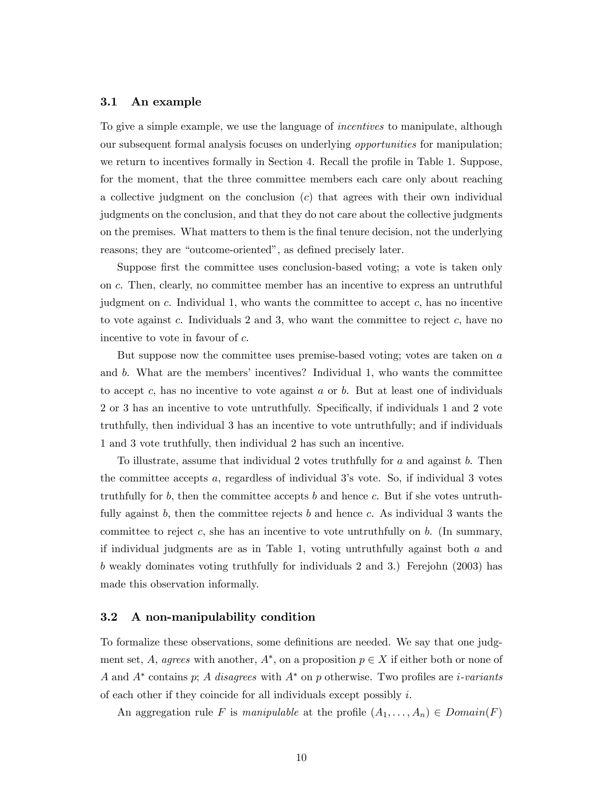#### 3.1 An example

To give a simple example, we use the language of incentives to manipulate, although our subsequent formal analysis focuses on underlying opportunities for manipulation; we return to incentives formally in Section 4. Recall the profile in Table 1. Suppose, for the moment, that the three committee members each care only about reaching a collective judgment on the conclusion  $(c)$  that agrees with their own individual judgments on the conclusion, and that they do not care about the collective judgments on the premises. What matters to them is the Önal tenure decision, not the underlying reasons; they are "outcome-oriented", as defined precisely later.

Suppose first the committee uses conclusion-based voting; a vote is taken only on c. Then, clearly, no committee member has an incentive to express an untruthful judgment on c. Individual 1, who wants the committee to accept c, has no incentive to vote against c. Individuals 2 and 3, who want the committee to reject  $c$ , have no incentive to vote in favour of c.

But suppose now the committee uses premise-based voting; votes are taken on a and b. What are the members' incentives? Individual 1, who wants the committee to accept  $c$ , has no incentive to vote against  $a$  or  $b$ . But at least one of individuals 2 or 3 has an incentive to vote untruthfully. Specifically, if individuals 1 and 2 vote truthfully, then individual 3 has an incentive to vote untruthfully; and if individuals 1 and 3 vote truthfully, then individual 2 has such an incentive.

To illustrate, assume that individual 2 votes truthfully for  $a$  and against  $b$ . Then the committee accepts a, regardless of individual 3ís vote. So, if individual 3 votes truthfully for  $b$ , then the committee accepts  $b$  and hence  $c$ . But if she votes untruthfully against b, then the committee rejects b and hence c. As individual 3 wants the committee to reject c, she has an incentive to vote untruthfully on  $b$ . (In summary, if individual judgments are as in Table 1, voting untruthfully against both  $a$  and b weakly dominates voting truthfully for individuals 2 and 3.) Ferejohn (2003) has made this observation informally.

### 3.2 A non-manipulability condition

To formalize these observations, some definitions are needed. We say that one judgment set, A, agrees with another,  $A^*$ , on a proposition  $p \in X$  if either both or none of A and  $A^*$  contains p; A disagrees with  $A^*$  on p otherwise. Two profiles are *i*-variants of each other if they coincide for all individuals except possibly i.

An aggregation rule F is manipulable at the profile  $(A_1, \ldots, A_n) \in Domain(F)$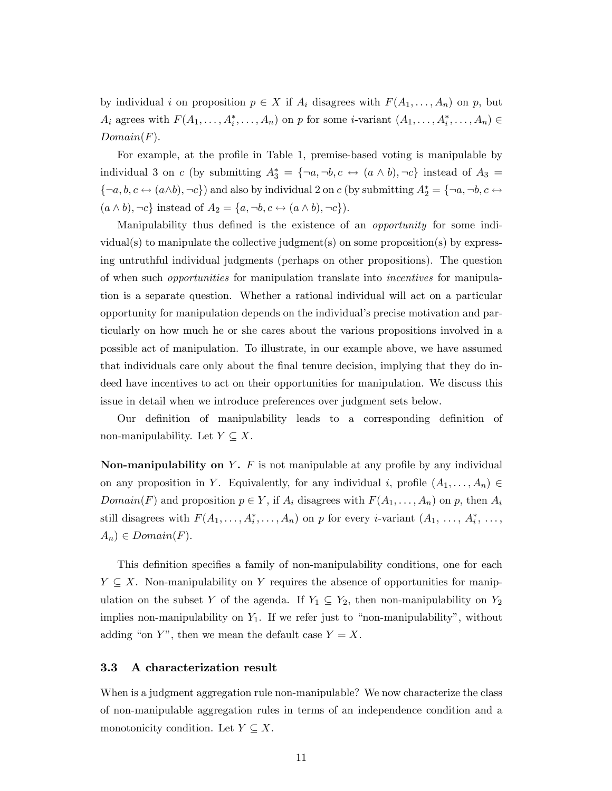by individual i on proposition  $p \in X$  if  $A_i$  disagrees with  $F(A_1, \ldots, A_n)$  on p, but  $A_i$  agrees with  $F(A_1, \ldots, A_i^*, \ldots, A_n)$  on p for some *i*-variant  $(A_1, \ldots, A_i^*, \ldots, A_n) \in$  $Domain(F)$ .

For example, at the profile in Table 1, premise-based voting is manipulable by individual 3 on c (by submitting  $A_3^* = \{\neg a, \neg b, c \leftrightarrow (a \wedge b), \neg c\}$  instead of  $A_3 =$  $\{\neg a, b, c \leftrightarrow (a \land b), \neg c\}$  and also by individual 2 on c (by submitting  $A_2^* = \{\neg a, \neg b, c \leftrightarrow b\}$  $(a \wedge b), \neg c$  instead of  $A_2 = \{a, \neg b, c \leftrightarrow (a \wedge b), \neg c\}.$ 

Manipulability thus defined is the existence of an *opportunity* for some individual(s) to manipulate the collective judgment(s) on some proposition(s) by expressing untruthful individual judgments (perhaps on other propositions). The question of when such opportunities for manipulation translate into incentives for manipulation is a separate question. Whether a rational individual will act on a particular opportunity for manipulation depends on the individualís precise motivation and particularly on how much he or she cares about the various propositions involved in a possible act of manipulation. To illustrate, in our example above, we have assumed that individuals care only about the final tenure decision, implying that they do indeed have incentives to act on their opportunities for manipulation. We discuss this issue in detail when we introduce preferences over judgment sets below.

Our deÖnition of manipulability leads to a corresponding deÖnition of non-manipulability. Let  $Y \subseteq X$ .

**Non-manipulability on Y.** F is not manipulable at any profile by any individual on any proposition in Y. Equivalently, for any individual i, profile  $(A_1, \ldots, A_n)$ Domain(F) and proposition  $p \in Y$ , if  $A_i$  disagrees with  $F(A_1, \ldots, A_n)$  on p, then  $A_i$ still disagrees with  $F(A_1, \ldots, A_i^*, \ldots, A_n)$  on p for every *i*-variant  $(A_1, \ldots, A_i^*, \ldots,$  $A_n$ )  $\in Domain(F)$ .

This definition specifies a family of non-manipulability conditions, one for each  $Y \subseteq X$ . Non-manipulability on Y requires the absence of opportunities for manipulation on the subset Y of the agenda. If  $Y_1 \subseteq Y_2$ , then non-manipulability on  $Y_2$ implies non-manipulability on  $Y_1$ . If we refer just to "non-manipulability", without adding "on Y", then we mean the default case  $Y = X$ .

### 3.3 A characterization result

When is a judgment aggregation rule non-manipulable? We now characterize the class of non-manipulable aggregation rules in terms of an independence condition and a monotonicity condition. Let  $Y \subseteq X$ .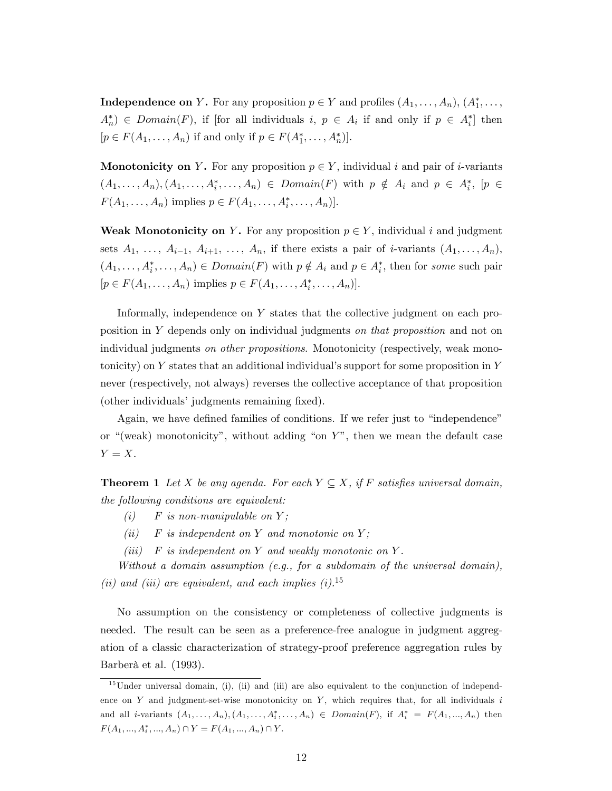**Independence on** Y. For any proposition  $p \in Y$  and profiles  $(A_1, \ldots, A_n)$ ,  $(A_1^*, \ldots,$  $A_n^*$   $\in$  *Domain*(*F*), if [for all individuals *i*,  $p \in A_i$  if and only if  $p \in A_i^*$ ] then  $[p \in F(A_1, ..., A_n)$  if and only if  $p \in F(A_1^*, ..., A_n^*)]$ .

**Monotonicity on** Y. For any proposition  $p \in Y$ , individual i and pair of i-variants  $(A_1,\ldots,A_n), (A_1,\ldots,A_i^*,\ldots,A_n) \in Domain(F)$  with  $p \notin A_i$  and  $p \in A_i^*$ ,  $[p \in A_i^*]$  $F(A_1, ..., A_n)$  implies  $p \in F(A_1, ..., A_i^*, ..., A_n)$ ].

**Weak Monotonicity on Y.** For any proposition  $p \in Y$ , individual i and judgment sets  $A_1, \ldots, A_{i-1}, A_{i+1}, \ldots, A_n$ , if there exists a pair of *i*-variants  $(A_1, \ldots, A_n)$ ,  $(A_1, \ldots, A_i^*, \ldots, A_n) \in Domain(F)$  with  $p \notin A_i$  and  $p \in A_i^*$ , then for some such pair  $[p \in F(A_1, ..., A_n) \text{ implies } p \in F(A_1, ..., A_i^*, ..., A_n)].$ 

Informally, independence on Y states that the collective judgment on each proposition in Y depends only on individual judgments on that proposition and not on individual judgments on other propositions. Monotonicity (respectively, weak monotonicity) on Y states that an additional individual's support for some proposition in Y never (respectively, not always) reverses the collective acceptance of that proposition (other individuals' judgments remaining fixed).

Again, we have defined families of conditions. If we refer just to "independence" or "(weak) monotonicity", without adding "on  $Y$ ", then we mean the default case  $Y = X$ .

**Theorem 1** Let X be any agenda. For each  $Y \subseteq X$ , if F satisfies universal domain, the following conditions are equivalent:

- (i) F is non-manipulable on  $Y$ ;
- (ii)  $F$  is independent on Y and monotonic on Y;
- (iii)  $F$  is independent on Y and weakly monotonic on Y.

Without a domain assumption (e.g., for a subdomain of the universal domain), (ii) and (iii) are equivalent, and each implies  $(i)$ .<sup>15</sup>

No assumption on the consistency or completeness of collective judgments is needed. The result can be seen as a preference-free analogue in judgment aggregation of a classic characterization of strategy-proof preference aggregation rules by Barberà et al. (1993).

 $15$ Under universal domain, (i), (ii) and (iii) are also equivalent to the conjunction of independence on Y and judgment-set-wise monotonicity on Y, which requires that, for all individuals  $i$ and all *i*-variants  $(A_1, ..., A_n), (A_1, ..., A_i^*, ..., A_n) \in Domain(F)$ , if  $A_i^* = F(A_1, ..., A_n)$  then  $F(A_1, ..., A_i^*, ..., A_n) \cap Y = F(A_1, ..., A_n) \cap Y$ .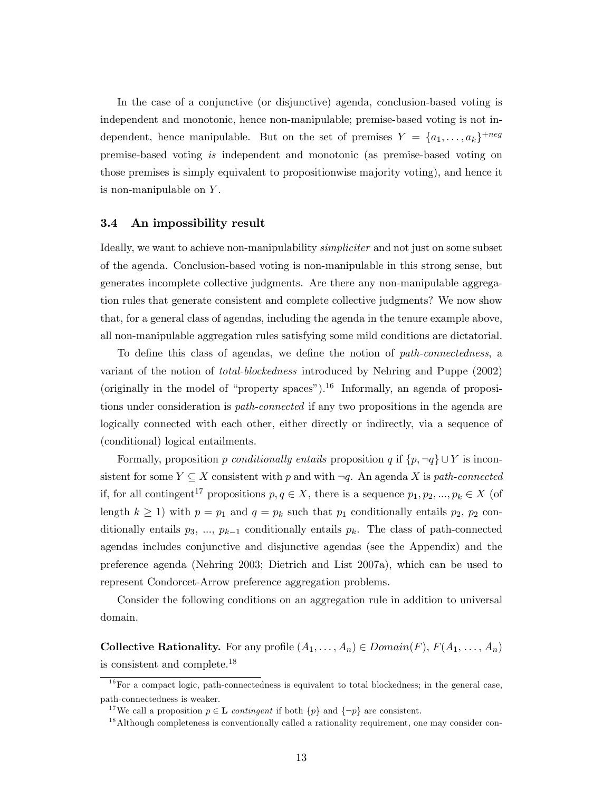In the case of a conjunctive (or disjunctive) agenda, conclusion-based voting is independent and monotonic, hence non-manipulable; premise-based voting is not independent, hence manipulable. But on the set of premises  $Y = \{a_1, \ldots, a_k\}^{+neg}$ premise-based voting is independent and monotonic (as premise-based voting on those premises is simply equivalent to propositionwise majority voting), and hence it is non-manipulable on Y.

#### 3.4 An impossibility result

Ideally, we want to achieve non-manipulability *simpliciter* and not just on some subset of the agenda. Conclusion-based voting is non-manipulable in this strong sense, but generates incomplete collective judgments. Are there any non-manipulable aggregation rules that generate consistent and complete collective judgments? We now show that, for a general class of agendas, including the agenda in the tenure example above, all non-manipulable aggregation rules satisfying some mild conditions are dictatorial.

To define this class of agendas, we define the notion of path-connectedness, a variant of the notion of total-blockedness introduced by Nehring and Puppe (2002) (originally in the model of "property spaces").<sup>16</sup> Informally, an agenda of propositions under consideration is *path-connected* if any two propositions in the agenda are logically connected with each other, either directly or indirectly, via a sequence of (conditional) logical entailments.

Formally, proposition p conditionally entails proposition q if  $\{p, \neg q\} \cup Y$  is inconsistent for some  $Y \subseteq X$  consistent with p and with  $\neg q$ . An agenda X is path-connected if, for all contingent<sup>17</sup> propositions  $p, q \in X$ , there is a sequence  $p_1, p_2, ..., p_k \in X$  (of length  $k \ge 1$ ) with  $p = p_1$  and  $q = p_k$  such that  $p_1$  conditionally entails  $p_2$ ,  $p_2$  conditionally entails  $p_3, ..., p_{k-1}$  conditionally entails  $p_k$ . The class of path-connected agendas includes conjunctive and disjunctive agendas (see the Appendix) and the preference agenda (Nehring 2003; Dietrich and List 2007a), which can be used to represent Condorcet-Arrow preference aggregation problems.

Consider the following conditions on an aggregation rule in addition to universal domain.

**Collective Rationality.** For any profile  $(A_1, \ldots, A_n) \in Domain(F)$ ,  $F(A_1, \ldots, A_n)$ is consistent and complete.<sup>18</sup>

 $16$  For a compact logic, path-connectedness is equivalent to total blockedness; in the general case, path-connectedness is weaker.

<sup>&</sup>lt;sup>17</sup>We call a proposition  $p \in L$  *contingent* if both  $\{p\}$  and  $\{\neg p\}$  are consistent.

 $18$  Although completeness is conventionally called a rationality requirement, one may consider con-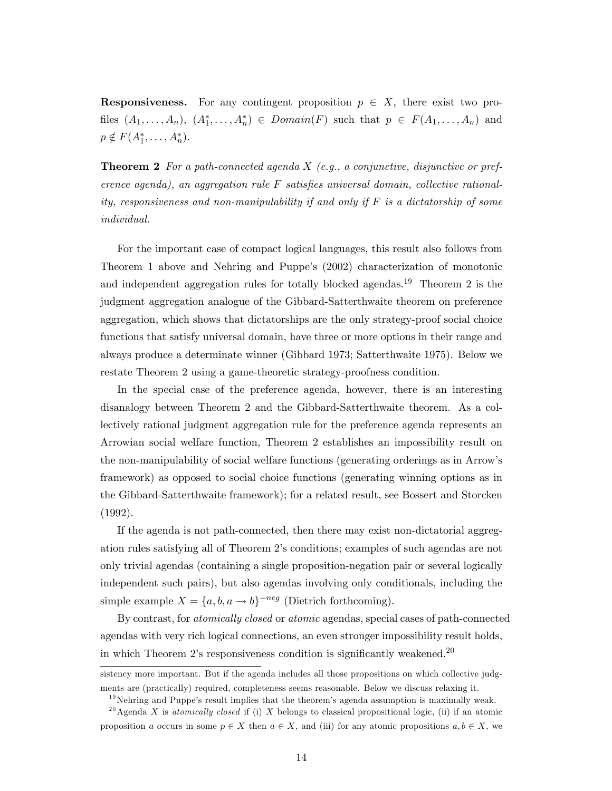**Responsiveness.** For any contingent proposition  $p \in X$ , there exist two profiles  $(A_1, \ldots, A_n)$ ,  $(A_1^*, \ldots, A_n^*) \in Domain(F)$  such that  $p \in F(A_1, \ldots, A_n)$  and  $p \notin F(A_1^*, \ldots, A_n^*).$ 

**Theorem 2** For a path-connected agenda  $X$  (e.g., a conjunctive, disjunctive or preference agenda), an aggregation rule  $F$  satisfies universal domain, collective rationality, responsiveness and non-manipulability if and only if  $F$  is a dictatorship of some individual.

For the important case of compact logical languages, this result also follows from Theorem 1 above and Nehring and Puppe's (2002) characterization of monotonic and independent aggregation rules for totally blocked agendas.<sup>19</sup> Theorem 2 is the judgment aggregation analogue of the Gibbard-Satterthwaite theorem on preference aggregation, which shows that dictatorships are the only strategy-proof social choice functions that satisfy universal domain, have three or more options in their range and always produce a determinate winner (Gibbard 1973; Satterthwaite 1975). Below we restate Theorem 2 using a game-theoretic strategy-proofness condition.

In the special case of the preference agenda, however, there is an interesting disanalogy between Theorem 2 and the Gibbard-Satterthwaite theorem. As a collectively rational judgment aggregation rule for the preference agenda represents an Arrowian social welfare function, Theorem 2 establishes an impossibility result on the non-manipulability of social welfare functions (generating orderings as in Arrowís framework) as opposed to social choice functions (generating winning options as in the Gibbard-Satterthwaite framework); for a related result, see Bossert and Storcken (1992).

If the agenda is not path-connected, then there may exist non-dictatorial aggregation rules satisfying all of Theorem 2ís conditions; examples of such agendas are not only trivial agendas (containing a single proposition-negation pair or several logically independent such pairs), but also agendas involving only conditionals, including the simple example  $X = \{a, b, a \rightarrow b\}^{+neg}$  (Dietrich forthcoming).

By contrast, for atomically closed or atomic agendas, special cases of path-connected agendas with very rich logical connections, an even stronger impossibility result holds, in which Theorem 2's responsiveness condition is significantly weakened.<sup>20</sup>

sistency more important. But if the agenda includes all those propositions on which collective judgments are (practically) required, completeness seems reasonable. Below we discuss relaxing it.

 $19$ Nehring and Puppe's result implies that the theorem's agenda assumption is maximally weak.

<sup>&</sup>lt;sup>20</sup> Agenda X is *atomically closed* if (i) X belongs to classical propositional logic, (ii) if an atomic proposition a occurs in some  $p \in X$  then  $a \in X$ , and (iii) for any atomic propositions  $a, b \in X$ , we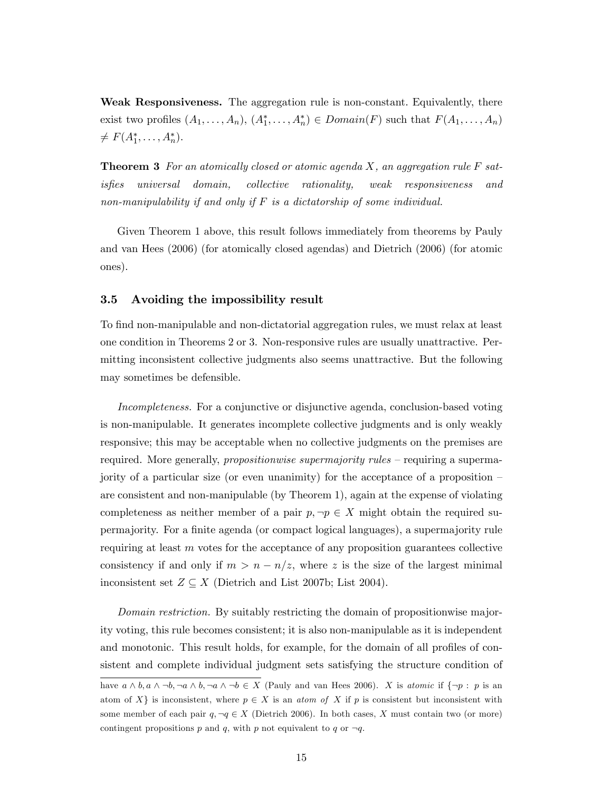Weak Responsiveness. The aggregation rule is non-constant. Equivalently, there exist two profiles  $(A_1, \ldots, A_n)$ ,  $(A_1^*, \ldots, A_n^*) \in Domain(F)$  such that  $F(A_1, \ldots, A_n)$  $\neq F(A_1^*, \ldots, A_n^*).$ 

**Theorem 3** For an atomically closed or atomic agenda X, an aggregation rule  $F$  satisfies universal domain, collective rationality, weak responsiveness and non-manipulability if and only if  $F$  is a dictatorship of some individual.

Given Theorem 1 above, this result follows immediately from theorems by Pauly and van Hees (2006) (for atomically closed agendas) and Dietrich (2006) (for atomic ones).

### 3.5 Avoiding the impossibility result

To find non-manipulable and non-dictatorial aggregation rules, we must relax at least one condition in Theorems 2 or 3. Non-responsive rules are usually unattractive. Permitting inconsistent collective judgments also seems unattractive. But the following may sometimes be defensible.

Incompleteness. For a conjunctive or disjunctive agenda, conclusion-based voting is non-manipulable. It generates incomplete collective judgments and is only weakly responsive; this may be acceptable when no collective judgments on the premises are required. More generally, *propositionwise supermajority rules*  $-$  requiring a supermajority of a particular size (or even unanimity) for the acceptance of a proposition  $-\frac{1}{2}$ are consistent and non-manipulable (by Theorem 1), again at the expense of violating completeness as neither member of a pair  $p, \neg p \in X$  might obtain the required supermajority. For a Önite agenda (or compact logical languages), a supermajority rule requiring at least  $m$  votes for the acceptance of any proposition guarantees collective consistency if and only if  $m > n - n/z$ , where z is the size of the largest minimal inconsistent set  $Z \subseteq X$  (Dietrich and List 2007b; List 2004).

Domain restriction. By suitably restricting the domain of propositionwise majority voting, this rule becomes consistent; it is also non-manipulable as it is independent and monotonic. This result holds, for example, for the domain of all profiles of consistent and complete individual judgment sets satisfying the structure condition of have  $a \wedge b, a \wedge \neg b, \neg a \wedge b, \neg a \wedge \neg b \in X$  (Pauly and van Hees 2006). X is atomic if  $\{\neg p : p$  is an atom of X is inconsistent, where  $p \in X$  is an atom of X if p is consistent but inconsistent with some member of each pair  $q, \neg q \in X$  (Dietrich 2006). In both cases, X must contain two (or more) contingent propositions p and q, with p not equivalent to q or  $\neg q$ .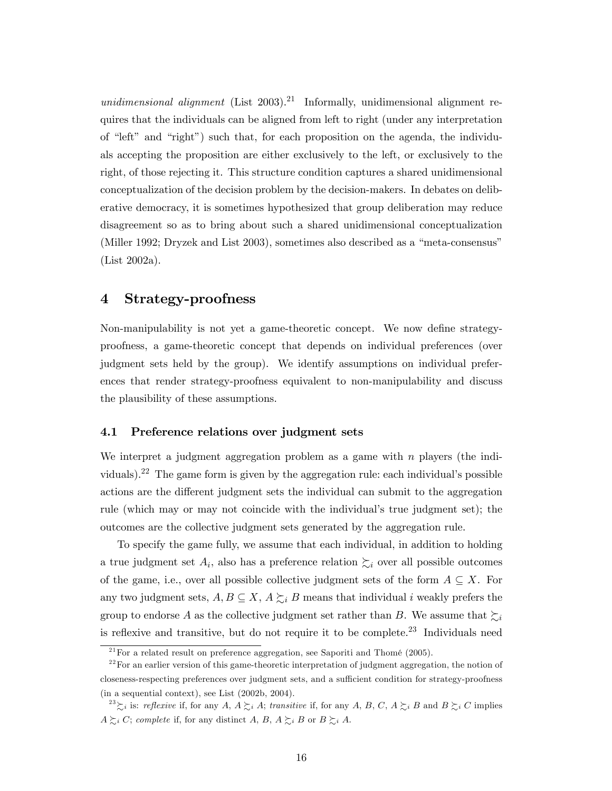unidimensional alignment (List  $2003$ ).<sup>21</sup> Informally, unidimensional alignment requires that the individuals can be aligned from left to right (under any interpretation of "left" and "right") such that, for each proposition on the agenda, the individuals accepting the proposition are either exclusively to the left, or exclusively to the right, of those rejecting it. This structure condition captures a shared unidimensional conceptualization of the decision problem by the decision-makers. In debates on deliberative democracy, it is sometimes hypothesized that group deliberation may reduce disagreement so as to bring about such a shared unidimensional conceptualization (Miller 1992; Dryzek and List 2003), sometimes also described as a "meta-consensus" (List 2002a).

### 4 Strategy-proofness

Non-manipulability is not yet a game-theoretic concept. We now define strategyproofness, a game-theoretic concept that depends on individual preferences (over judgment sets held by the group). We identify assumptions on individual preferences that render strategy-proofness equivalent to non-manipulability and discuss the plausibility of these assumptions.

#### 4.1 Preference relations over judgment sets

We interpret a judgment aggregation problem as a game with  $n$  players (the individuals).<sup>22</sup> The game form is given by the aggregation rule: each individual's possible actions are the different judgment sets the individual can submit to the aggregation rule (which may or may not coincide with the individual's true judgment set); the outcomes are the collective judgment sets generated by the aggregation rule.

To specify the game fully, we assume that each individual, in addition to holding a true judgment set  $A_i$ , also has a preference relation  $\succsim_i$  over all possible outcomes of the game, i.e., over all possible collective judgment sets of the form  $A \subseteq X$ . For any two judgment sets,  $A, B \subseteq X, A \succsim_{i} B$  means that individual i weakly prefers the group to endorse A as the collective judgment set rather than B. We assume that  $\sum_{i=1}^{n}$ is reflexive and transitive, but do not require it to be complete.<sup>23</sup> Individuals need

 $^{21}$  For a related result on preference aggregation, see Saporiti and Thomé (2005).

 $22$  For an earlier version of this game-theoretic interpretation of judgment aggregation, the notion of closeness-respecting preferences over judgment sets, and a sufficient condition for strategy-proofness (in a sequential context), see List (2002b, 2004).

 $^{23}$  $\lesssim_i$  is: reflexive if, for any A,  $A \gtrsim_i A$ ; transitive if, for any A, B, C, A  $\gtrsim_i B$  and B  $\gtrsim_i C$  implies  $A \succsim_i C$ ; complete if, for any distinct A, B,  $A \succsim_i B$  or  $B \succsim_i A$ .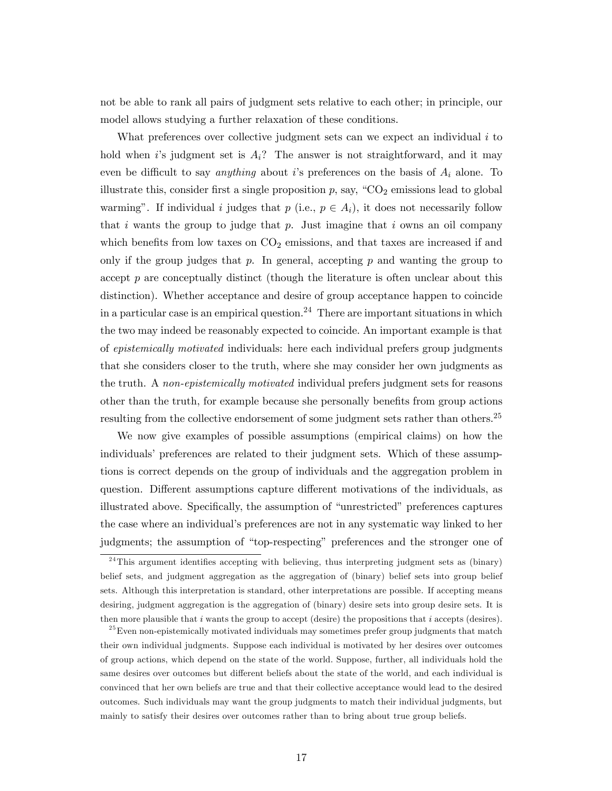not be able to rank all pairs of judgment sets relative to each other; in principle, our model allows studying a further relaxation of these conditions.

What preferences over collective judgment sets can we expect an individual  $i$  to hold when is judgment set is  $A_i$ ? The answer is not straightforward, and it may even be difficult to say *anything* about i's preferences on the basis of  $A_i$  alone. To illustrate this, consider first a single proposition  $p$ , say,  $C_2$  emissions lead to global warming". If individual i judges that  $p$  (i.e.,  $p \in A_i$ ), it does not necessarily follow that i wants the group to judge that  $p$ . Just imagine that i owns an oil company which benefits from low taxes on  $CO<sub>2</sub>$  emissions, and that taxes are increased if and only if the group judges that  $p$ . In general, accepting  $p$  and wanting the group to accept p are conceptually distinct (though the literature is often unclear about this distinction). Whether acceptance and desire of group acceptance happen to coincide in a particular case is an empirical question.<sup>24</sup> There are important situations in which the two may indeed be reasonably expected to coincide. An important example is that of epistemically motivated individuals: here each individual prefers group judgments that she considers closer to the truth, where she may consider her own judgments as the truth. A non-epistemically motivated individual prefers judgment sets for reasons other than the truth, for example because she personally benefits from group actions resulting from the collective endorsement of some judgment sets rather than others.<sup>25</sup>

We now give examples of possible assumptions (empirical claims) on how the individuals' preferences are related to their judgment sets. Which of these assumptions is correct depends on the group of individuals and the aggregation problem in question. Different assumptions capture different motivations of the individuals, as illustrated above. Specifically, the assumption of "unrestricted" preferences captures the case where an individualís preferences are not in any systematic way linked to her judgments; the assumption of "top-respecting" preferences and the stronger one of

 $^{24}$ This argument identifies accepting with believing, thus interpreting judgment sets as (binary) belief sets, and judgment aggregation as the aggregation of (binary) belief sets into group belief sets. Although this interpretation is standard, other interpretations are possible. If accepting means desiring, judgment aggregation is the aggregation of (binary) desire sets into group desire sets. It is then more plausible that i wants the group to accept (desire) the propositions that i accepts (desires).

 $^{25}$ Even non-epistemically motivated individuals may sometimes prefer group judgments that match their own individual judgments. Suppose each individual is motivated by her desires over outcomes of group actions, which depend on the state of the world. Suppose, further, all individuals hold the same desires over outcomes but different beliefs about the state of the world, and each individual is convinced that her own beliefs are true and that their collective acceptance would lead to the desired outcomes. Such individuals may want the group judgments to match their individual judgments, but mainly to satisfy their desires over outcomes rather than to bring about true group beliefs.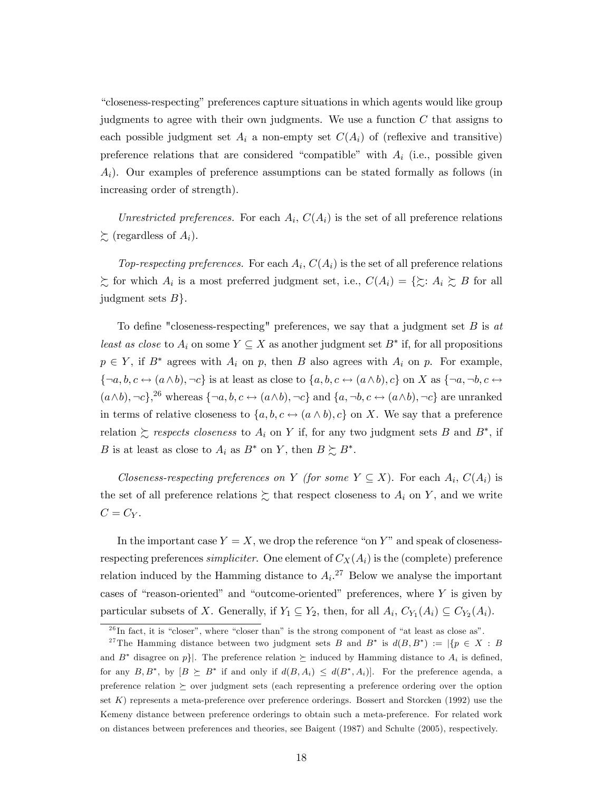"closeness-respecting" preferences capture situations in which agents would like group judgments to agree with their own judgments. We use a function  $C$  that assigns to each possible judgment set  $A_i$  a non-empty set  $C(A_i)$  of (reflexive and transitive) preference relations that are considered "compatible" with  $A_i$  (i.e., possible given  $A_i$ ). Our examples of preference assumptions can be stated formally as follows (in increasing order of strength).

Unrestricted preferences. For each  $A_i$ ,  $C(A_i)$  is the set of all preference relations  $\succsim$  (regardless of  $A_i$ ).

Top-respecting preferences. For each  $A_i$ ,  $C(A_i)$  is the set of all preference relations  $\succsim$  for which  $A_i$  is a most preferred judgment set, i.e.,  $C(A_i) = \{\succsim: A_i \succsim B \text{ for all } i\}$ judgment sets  $B$ .

To define "closeness-respecting" preferences, we say that a judgment set  $B$  is at least as close to  $A_i$  on some  $Y \subseteq X$  as another judgment set  $B^*$  if, for all propositions  $p \in Y$ , if  $B^*$  agrees with  $A_i$  on p, then B also agrees with  $A_i$  on p. For example,  $\{\neg a, b, c \leftrightarrow (a \wedge b), \neg c\}$  is at least as close to  $\{a, b, c \leftrightarrow (a \wedge b), c\}$  on X as  $\{\neg a, \neg b, c \leftrightarrow (a \wedge b), c\}$  $(a \wedge b), \neg c$ , <sup>26</sup> whereas  $\{\neg a, b, c \leftrightarrow (a \wedge b), \neg c\}$  and  $\{a, \neg b, c \leftrightarrow (a \wedge b), \neg c\}$  are unranked in terms of relative closeness to  $\{a, b, c \leftrightarrow (a \wedge b), c\}$  on X. We say that a preference relation  $\succsim$  respects closeness to  $A_i$  on Y if, for any two judgment sets B and B<sup>\*</sup>, if B is at least as close to  $A_i$  as  $B^*$  on Y, then  $B \succsim B^*$ .

*Closeness-respecting preferences on Y (for some Y*  $\subseteq$  *X).* For each  $A_i$ ,  $C(A_i)$  is the set of all preference relations  $\succeq$  that respect closeness to  $A_i$  on Y, and we write  $C = C_Y$ .

In the important case  $Y = X$ , we drop the reference "on Y" and speak of closenessrespecting preferences *simpliciter*. One element of  $C_X(A_i)$  is the (complete) preference relation induced by the Hamming distance to  $A_i$ <sup>27</sup> Below we analyse the important cases of "reason-oriented" and "outcome-oriented" preferences, where  $Y$  is given by particular subsets of X. Generally, if  $Y_1 \subseteq Y_2$ , then, for all  $A_i$ ,  $C_{Y_1}(A_i) \subseteq C_{Y_2}(A_i)$ .

 $^{26}$ In fact, it is "closer", where "closer than" is the strong component of "at least as close as".

<sup>&</sup>lt;sup>27</sup>The Hamming distance between two judgment sets B and B<sup>\*</sup> is  $d(B, B^*) := |\{p \in X : B$ and  $B^*$  disagree on  $p$ }. The preference relation  $\succeq$  induced by Hamming distance to  $A_i$  is defined, for any  $B, B^*$ , by  $[B \succeq B^*$  if and only if  $d(B, A_i) \leq d(B^*, A_i)$ . For the preference agenda, a preference relation  $\succeq$  over judgment sets (each representing a preference ordering over the option set K) represents a meta-preference over preference orderings. Bossert and Storcken (1992) use the Kemeny distance between preference orderings to obtain such a meta-preference. For related work on distances between preferences and theories, see Baigent (1987) and Schulte (2005), respectively.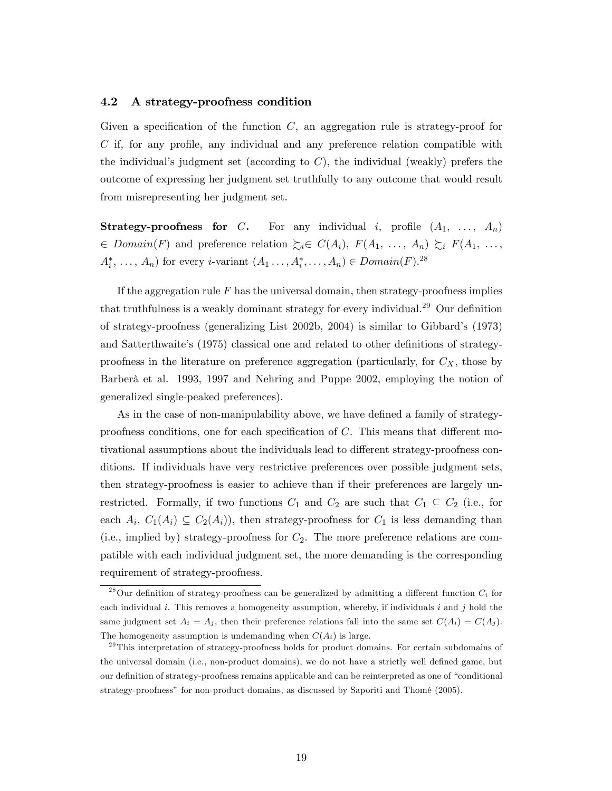#### 4.2 A strategy-proofness condition

Given a specification of the function  $C$ , an aggregation rule is strategy-proof for  $C$  if, for any profile, any individual and any preference relation compatible with the individual's judgment set (according to  $C$ ), the individual (weakly) prefers the outcome of expressing her judgment set truthfully to any outcome that would result from misrepresenting her judgment set.

**Strategy-proofness for C.** For any individual i, profile  $(A_1, \ldots, A_n)$  $\in Domain(F)$  and preference relation  $\succsim_i \in C(A_i), F(A_1, \ldots, A_n) \succsim_i F(A_1, \ldots, A_n)$  $A_i^*, \ldots, A_n$  for every *i*-variant  $(A_1 \ldots, A_i^*, \ldots, A_n) \in Domain(F).^{28}$ 

If the aggregation rule  $F$  has the universal domain, then strategy-proofness implies that truthfulness is a weakly dominant strategy for every individual.<sup>29</sup> Our definition of strategy-proofness (generalizing List 2002b, 2004) is similar to Gibbardís (1973) and Satterthwaite's (1975) classical one and related to other definitions of strategyproofness in the literature on preference aggregation (particularly, for  $C_X$ , those by Barberà et al. 1993, 1997 and Nehring and Puppe 2002, employing the notion of generalized single-peaked preferences).

As in the case of non-manipulability above, we have defined a family of strategyproofness conditions, one for each specification of  $C$ . This means that different motivational assumptions about the individuals lead to different strategy-proofness conditions. If individuals have very restrictive preferences over possible judgment sets, then strategy-proofness is easier to achieve than if their preferences are largely unrestricted. Formally, if two functions  $C_1$  and  $C_2$  are such that  $C_1 \subseteq C_2$  (i.e., for each  $A_i$ ,  $C_1(A_i) \subseteq C_2(A_i)$ , then strategy-proofness for  $C_1$  is less demanding than (i.e., implied by) strategy-proofness for  $C_2$ . The more preference relations are compatible with each individual judgment set, the more demanding is the corresponding requirement of strategy-proofness.

<sup>&</sup>lt;sup>28</sup>Our definition of strategy-proofness can be generalized by admitting a different function  $C_i$  for each individual i. This removes a homogeneity assumption, whereby, if individuals i and j hold the same judgment set  $A_i = A_j$ , then their preference relations fall into the same set  $C(A_i) = C(A_j)$ . The homogeneity assumption is undemanding when  $C(A_i)$  is large.

<sup>&</sup>lt;sup>29</sup>This interpretation of strategy-proofness holds for product domains. For certain subdomains of the universal domain (i.e., non-product domains), we do not have a strictly well defined game, but our definition of strategy-proofness remains applicable and can be reinterpreted as one of "conditional strategy-proofness" for non-product domains, as discussed by Saporiti and Thomé (2005).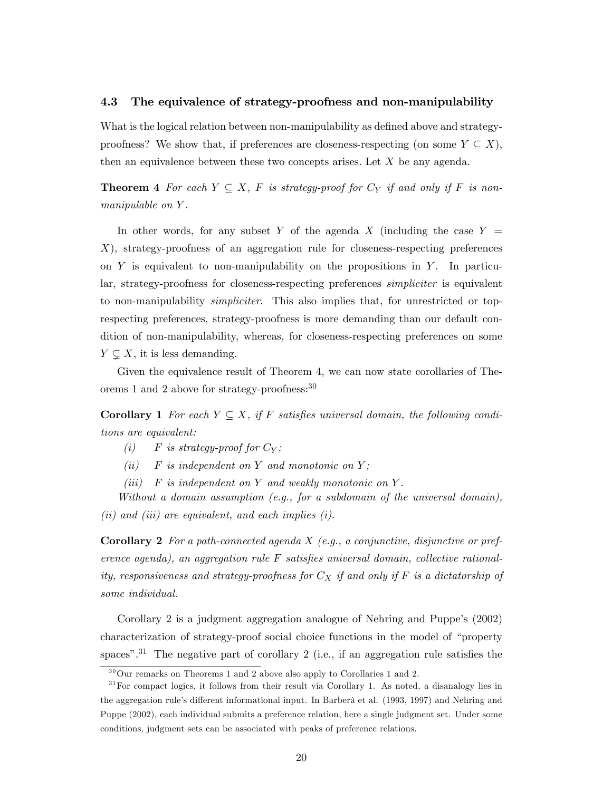#### 4.3 The equivalence of strategy-proofness and non-manipulability

What is the logical relation between non-manipulability as defined above and strategyproofness? We show that, if preferences are closeness-respecting (on some  $Y \subseteq X$ ), then an equivalence between these two concepts arises. Let  $X$  be any agenda.

**Theorem 4** For each  $Y \subseteq X$ , F is strategy-proof for  $C_Y$  if and only if F is nonmanipulable on Y.

In other words, for any subset Y of the agenda X (including the case  $Y =$  $X$ ), strategy-proofness of an aggregation rule for closeness-respecting preferences on Y is equivalent to non-manipulability on the propositions in Y. In particular, strategy-proofness for closeness-respecting preferences *simpliciter* is equivalent to non-manipulability *simpliciter*. This also implies that, for unrestricted or toprespecting preferences, strategy-proofness is more demanding than our default condition of non-manipulability, whereas, for closeness-respecting preferences on some  $Y \subseteq X$ , it is less demanding.

Given the equivalence result of Theorem 4, we can now state corollaries of Theorems 1 and 2 above for strategy-proofness:<sup>30</sup>

**Corollary 1** For each  $Y \subseteq X$ , if F satisfies universal domain, the following conditions are equivalent:

- (i) F is strategy-proof for  $C_Y$ ;
- (ii)  $F$  is independent on Y and monotonic on Y;
- (iii)  $F$  is independent on  $Y$  and weakly monotonic on  $Y$ .

Without a domain assumption (e.g., for a subdomain of the universal domain),  $(ii)$  and  $(iii)$  are equivalent, and each implies  $(i)$ .

**Corollary 2** For a path-connected agenda  $X$  (e.g., a conjunctive, disjunctive or preference agenda), an aggregation rule  $F$  satisfies universal domain, collective rationality, responsiveness and strategy-proofness for  $C_X$  if and only if F is a dictatorship of some individual.

Corollary 2 is a judgment aggregation analogue of Nehring and Puppe's (2002) characterization of strategy-proof social choice functions in the model of "property" spaces".<sup>31</sup> The negative part of corollary 2 (i.e., if an aggregation rule satisfies the

 $30$ Our remarks on Theorems 1 and 2 above also apply to Corollaries 1 and 2.

 $31$  For compact logics, it follows from their result via Corollary 1. As noted, a disanalogy lies in the aggregation rule's different informational input. In Barberà et al. (1993, 1997) and Nehring and Puppe (2002), each individual submits a preference relation, here a single judgment set. Under some conditions, judgment sets can be associated with peaks of preference relations.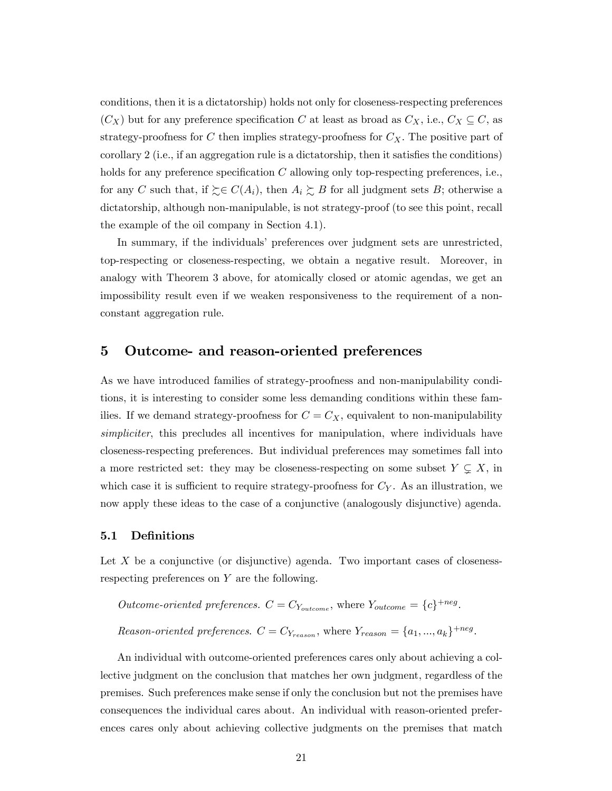conditions, then it is a dictatorship) holds not only for closeness-respecting preferences  $(C_X)$  but for any preference specification C at least as broad as  $C_X$ , i.e.,  $C_X \subseteq C$ , as strategy-proofness for C then implies strategy-proofness for  $C_X$ . The positive part of corollary 2 (i.e., if an aggregation rule is a dictatorship, then it satisfies the conditions) holds for any preference specification  $C$  allowing only top-respecting preferences, i.e., for any C such that, if  $\zeta \in C(A_i)$ , then  $A_i \succeq B$  for all judgment sets B; otherwise a dictatorship, although non-manipulable, is not strategy-proof (to see this point, recall the example of the oil company in Section 4.1).

In summary, if the individualsí preferences over judgment sets are unrestricted, top-respecting or closeness-respecting, we obtain a negative result. Moreover, in analogy with Theorem 3 above, for atomically closed or atomic agendas, we get an impossibility result even if we weaken responsiveness to the requirement of a nonconstant aggregation rule.

### 5 Outcome- and reason-oriented preferences

As we have introduced families of strategy-proofness and non-manipulability conditions, it is interesting to consider some less demanding conditions within these families. If we demand strategy-proofness for  $C = C_X$ , equivalent to non-manipulability simpliciter, this precludes all incentives for manipulation, where individuals have closeness-respecting preferences. But individual preferences may sometimes fall into a more restricted set: they may be closeness-respecting on some subset  $Y \subsetneq X$ , in which case it is sufficient to require strategy-proofness for  $C_Y$ . As an illustration, we now apply these ideas to the case of a conjunctive (analogously disjunctive) agenda.

### 5.1 DeÖnitions

Let  $X$  be a conjunctive (or disjunctive) agenda. Two important cases of closenessrespecting preferences on Y are the following.

Outcome-oriented preferences.  $C = C_{Y_{outcome}}$ , where  $Y_{outcome} = \{c\}^{+neg}$ . Reason-oriented preferences.  $C = C_{Y_{reason}}$ , where  $Y_{reason} = \{a_1, ..., a_k\}^{+neg}$ .

An individual with outcome-oriented preferences cares only about achieving a collective judgment on the conclusion that matches her own judgment, regardless of the premises. Such preferences make sense if only the conclusion but not the premises have consequences the individual cares about. An individual with reason-oriented preferences cares only about achieving collective judgments on the premises that match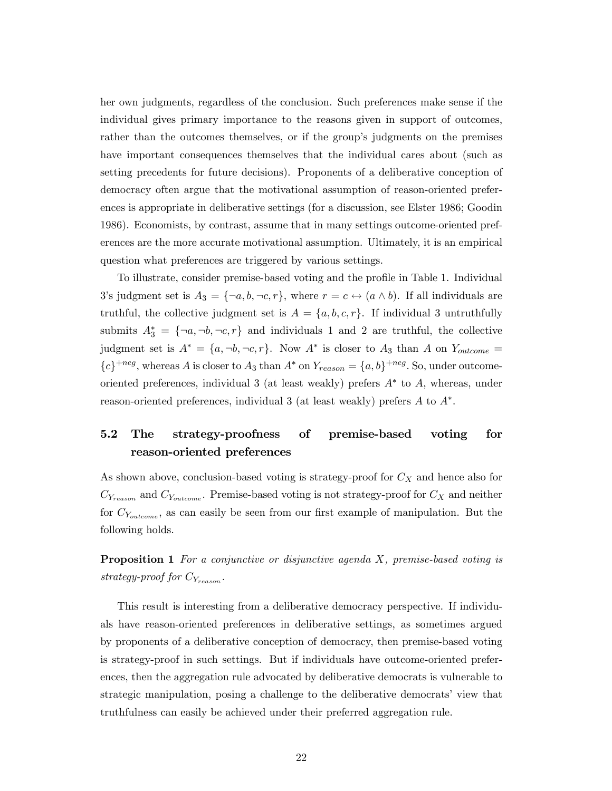her own judgments, regardless of the conclusion. Such preferences make sense if the individual gives primary importance to the reasons given in support of outcomes, rather than the outcomes themselves, or if the group's judgments on the premises have important consequences themselves that the individual cares about (such as setting precedents for future decisions). Proponents of a deliberative conception of democracy often argue that the motivational assumption of reason-oriented preferences is appropriate in deliberative settings (for a discussion, see Elster 1986; Goodin 1986). Economists, by contrast, assume that in many settings outcome-oriented preferences are the more accurate motivational assumption. Ultimately, it is an empirical question what preferences are triggered by various settings.

To illustrate, consider premise-based voting and the profile in Table 1. Individual 3's judgment set is  $A_3 = \{\neg a, b, \neg c, r\}$ , where  $r = c \leftrightarrow (a \wedge b)$ . If all individuals are truthful, the collective judgment set is  $A = \{a, b, c, r\}$ . If individual 3 untruthfully submits  $A_3^* = \{\neg a, \neg b, \neg c, r\}$  and individuals 1 and 2 are truthful, the collective judgment set is  $A^* = \{a, \neg b, \neg c, r\}$ . Now  $A^*$  is closer to  $A_3$  than A on  $Y_{outcome}$  ${c}^{+neg}$ , whereas A is closer to  $A_3$  than  $A^*$  on  $Y_{reason} = {a,b}^{+neg}$ . So, under outcomeoriented preferences, individual 3 (at least weakly) prefers  $A^*$  to A, whereas, under reason-oriented preferences, individual 3 (at least weakly) prefers A to  $A^*$ .

## 5.2 The strategy-proofness of premise-based voting for reason-oriented preferences

As shown above, conclusion-based voting is strategy-proof for  $C_X$  and hence also for  $C_{Y_{reason}}$  and  $C_{Y_{outcome}}$ . Premise-based voting is not strategy-proof for  $C_X$  and neither for  $C_{Y_{outcome}}$ , as can easily be seen from our first example of manipulation. But the following holds.

**Proposition 1** For a conjunctive or disjunctive agenda  $X$ , premise-based voting is strategy-proof for  $C_{Y_{reason}}$ .

This result is interesting from a deliberative democracy perspective. If individuals have reason-oriented preferences in deliberative settings, as sometimes argued by proponents of a deliberative conception of democracy, then premise-based voting is strategy-proof in such settings. But if individuals have outcome-oriented preferences, then the aggregation rule advocated by deliberative democrats is vulnerable to strategic manipulation, posing a challenge to the deliberative democrats' view that truthfulness can easily be achieved under their preferred aggregation rule.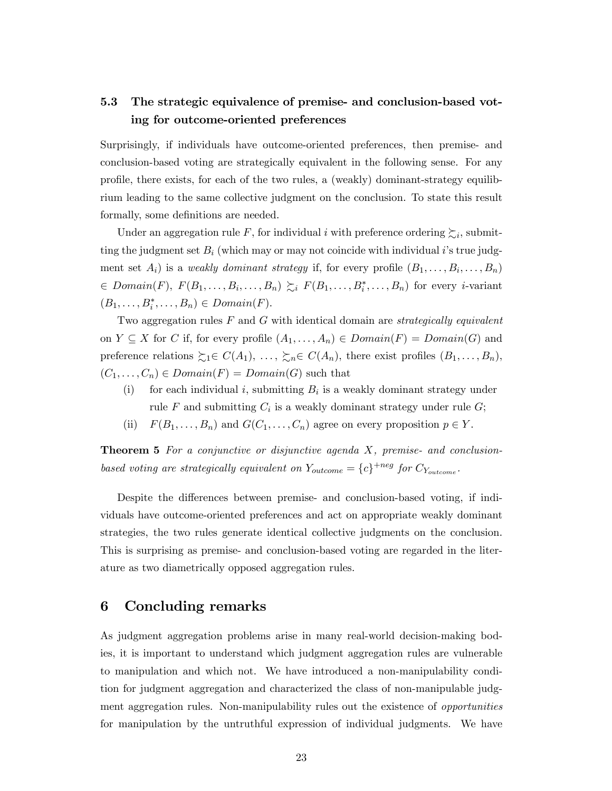## 5.3 The strategic equivalence of premise- and conclusion-based voting for outcome-oriented preferences

Surprisingly, if individuals have outcome-oriented preferences, then premise- and conclusion-based voting are strategically equivalent in the following sense. For any proÖle, there exists, for each of the two rules, a (weakly) dominant-strategy equilibrium leading to the same collective judgment on the conclusion. To state this result formally, some definitions are needed.

Under an aggregation rule F, for individual i with preference ordering  $\sum_i$ , submitting the judgment set  $B_i$  (which may or may not coincide with individual i's true judgment set  $A_i$ ) is a *weakly dominant strategy* if, for every profile  $(B_1, \ldots, B_i, \ldots, B_n)$  $\in Domain(F), F(B_1, \ldots, B_i, \ldots, B_n) \succeq_i F(B_1, \ldots, B_i^*, \ldots, B_n)$  for every *i*-variant  $(B_1, \ldots, B_i^*, \ldots, B_n) \in Domain(F).$ 

Two aggregation rules  $F$  and  $G$  with identical domain are strategically equivalent on  $Y \subseteq X$  for C if, for every profile  $(A_1, \ldots, A_n) \in Domain(F) = Domain(G)$  and preference relations  $\zeta_1 \in C(A_1), \ldots, \zeta_n \in C(A_n)$ , there exist profiles  $(B_1, \ldots, B_n)$ ,  $(C_1, \ldots, C_n) \in Domain(F) = Domain(G)$  such that

- (i) for each individual i, submitting  $B_i$  is a weakly dominant strategy under rule  $F$  and submitting  $C_i$  is a weakly dominant strategy under rule  $G$ ;
- (ii)  $F(B_1, \ldots, B_n)$  and  $G(C_1, \ldots, C_n)$  agree on every proposition  $p \in Y$ .

**Theorem 5** For a conjunctive or disjunctive agenda  $X$ , premise- and conclusionbased voting are strategically equivalent on  $Y_{outcome} = \{c\}^{+neg}$  for  $C_{Y_{outcome}}$ .

Despite the differences between premise- and conclusion-based voting, if individuals have outcome-oriented preferences and act on appropriate weakly dominant strategies, the two rules generate identical collective judgments on the conclusion. This is surprising as premise- and conclusion-based voting are regarded in the literature as two diametrically opposed aggregation rules.

### 6 Concluding remarks

As judgment aggregation problems arise in many real-world decision-making bodies, it is important to understand which judgment aggregation rules are vulnerable to manipulation and which not. We have introduced a non-manipulability condition for judgment aggregation and characterized the class of non-manipulable judgment aggregation rules. Non-manipulability rules out the existence of *opportunities* for manipulation by the untruthful expression of individual judgments. We have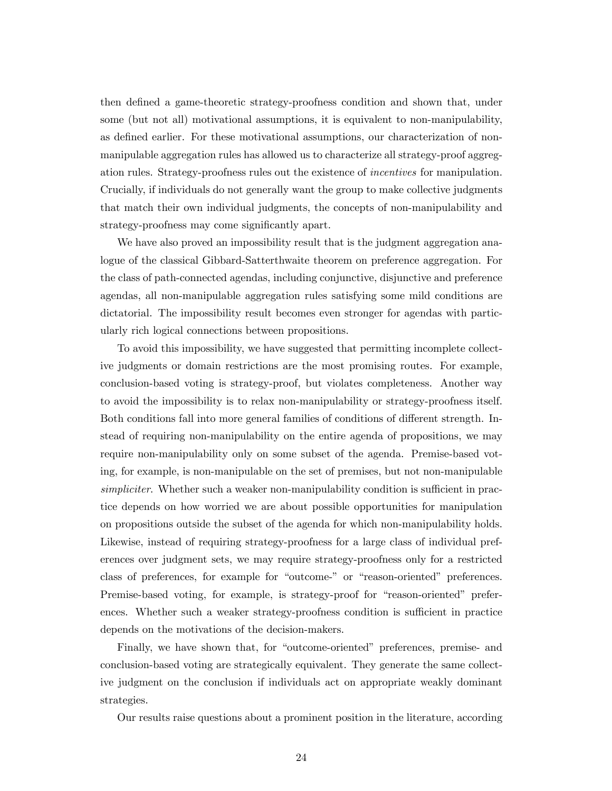then defined a game-theoretic strategy-proofness condition and shown that, under some (but not all) motivational assumptions, it is equivalent to non-manipulability, as defined earlier. For these motivational assumptions, our characterization of nonmanipulable aggregation rules has allowed us to characterize all strategy-proof aggregation rules. Strategy-proofness rules out the existence of incentives for manipulation. Crucially, if individuals do not generally want the group to make collective judgments that match their own individual judgments, the concepts of non-manipulability and strategy-proofness may come significantly apart.

We have also proved an impossibility result that is the judgment aggregation analogue of the classical Gibbard-Satterthwaite theorem on preference aggregation. For the class of path-connected agendas, including conjunctive, disjunctive and preference agendas, all non-manipulable aggregation rules satisfying some mild conditions are dictatorial. The impossibility result becomes even stronger for agendas with particularly rich logical connections between propositions.

To avoid this impossibility, we have suggested that permitting incomplete collective judgments or domain restrictions are the most promising routes. For example, conclusion-based voting is strategy-proof, but violates completeness. Another way to avoid the impossibility is to relax non-manipulability or strategy-proofness itself. Both conditions fall into more general families of conditions of different strength. Instead of requiring non-manipulability on the entire agenda of propositions, we may require non-manipulability only on some subset of the agenda. Premise-based voting, for example, is non-manipulable on the set of premises, but not non-manipulable simpliciter. Whether such a weaker non-manipulability condition is sufficient in practice depends on how worried we are about possible opportunities for manipulation on propositions outside the subset of the agenda for which non-manipulability holds. Likewise, instead of requiring strategy-proofness for a large class of individual preferences over judgment sets, we may require strategy-proofness only for a restricted class of preferences, for example for "outcome-" or "reason-oriented" preferences. Premise-based voting, for example, is strategy-proof for "reason-oriented" preferences. Whether such a weaker strategy-proofness condition is sufficient in practice depends on the motivations of the decision-makers.

Finally, we have shown that, for "outcome-oriented" preferences, premise- and conclusion-based voting are strategically equivalent. They generate the same collective judgment on the conclusion if individuals act on appropriate weakly dominant strategies.

Our results raise questions about a prominent position in the literature, according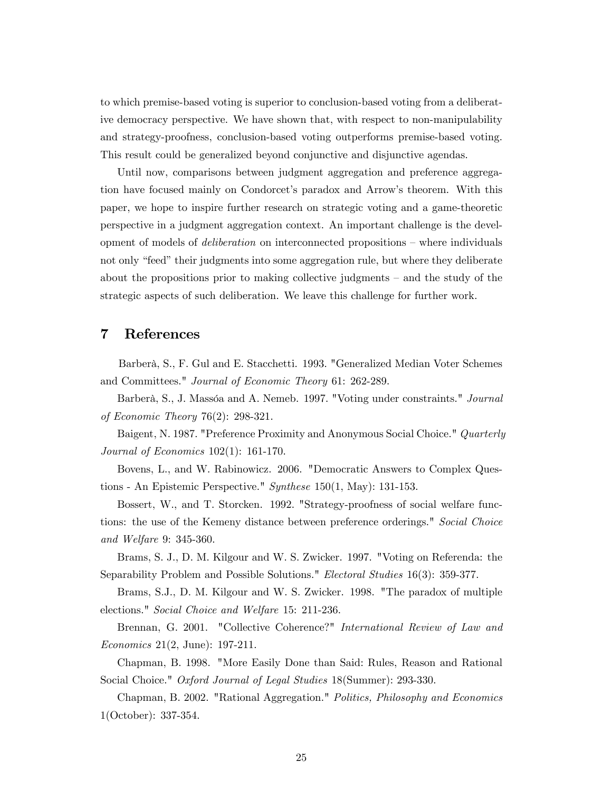to which premise-based voting is superior to conclusion-based voting from a deliberative democracy perspective. We have shown that, with respect to non-manipulability and strategy-proofness, conclusion-based voting outperforms premise-based voting. This result could be generalized beyond conjunctive and disjunctive agendas.

Until now, comparisons between judgment aggregation and preference aggregation have focused mainly on Condorcet's paradox and Arrow's theorem. With this paper, we hope to inspire further research on strategic voting and a game-theoretic perspective in a judgment aggregation context. An important challenge is the development of models of *deliberation* on interconnected propositions  $-\omega$  where individuals not only "feed" their judgments into some aggregation rule, but where they deliberate about the propositions prior to making collective judgments  $-$  and the study of the strategic aspects of such deliberation. We leave this challenge for further work.

### 7 References

Barberà, S., F. Gul and E. Stacchetti. 1993. "Generalized Median Voter Schemes and Committees." Journal of Economic Theory 61: 262-289.

Barberà, S., J. Massóa and A. Nemeb. 1997. "Voting under constraints." Journal of Economic Theory 76(2): 298-321.

Baigent, N. 1987. "Preference Proximity and Anonymous Social Choice." Quarterly Journal of Economics 102(1): 161-170.

Bovens, L., and W. Rabinowicz. 2006. "Democratic Answers to Complex Questions - An Epistemic Perspective." Synthese 150(1, May): 131-153.

Bossert, W., and T. Storcken. 1992. "Strategy-proofness of social welfare functions: the use of the Kemeny distance between preference orderings." Social Choice and Welfare 9: 345-360.

Brams, S. J., D. M. Kilgour and W. S. Zwicker. 1997. "Voting on Referenda: the Separability Problem and Possible Solutions." Electoral Studies 16(3): 359-377.

Brams, S.J., D. M. Kilgour and W. S. Zwicker. 1998. "The paradox of multiple elections." Social Choice and Welfare 15: 211-236.

Brennan, G. 2001. "Collective Coherence?" International Review of Law and Economics 21(2, June): 197-211.

Chapman, B. 1998. "More Easily Done than Said: Rules, Reason and Rational Social Choice." Oxford Journal of Legal Studies 18(Summer): 293-330.

Chapman, B. 2002. "Rational Aggregation." Politics, Philosophy and Economics 1(October): 337-354.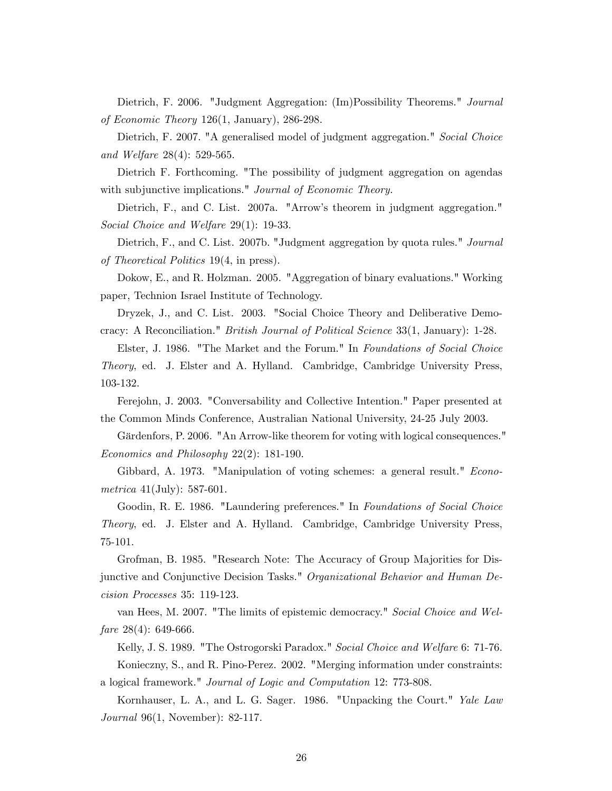Dietrich, F. 2006. "Judgment Aggregation: (Im)Possibility Theorems." Journal of Economic Theory 126(1, January), 286-298.

Dietrich, F. 2007. "A generalised model of judgment aggregation." Social Choice and Welfare 28(4): 529-565.

Dietrich F. Forthcoming. "The possibility of judgment aggregation on agendas with subjunctive implications." Journal of Economic Theory.

Dietrich, F., and C. List. 2007a. "Arrow's theorem in judgment aggregation." Social Choice and Welfare 29(1): 19-33.

Dietrich, F., and C. List. 2007b. "Judgment aggregation by quota rules." *Journal* of Theoretical Politics 19(4, in press).

Dokow, E., and R. Holzman. 2005. "Aggregation of binary evaluations." Working paper, Technion Israel Institute of Technology.

Dryzek, J., and C. List. 2003. "Social Choice Theory and Deliberative Democracy: A Reconciliation." British Journal of Political Science 33(1, January): 1-28.

Elster, J. 1986. "The Market and the Forum." In Foundations of Social Choice Theory, ed. J. Elster and A. Hylland. Cambridge, Cambridge University Press, 103-132.

Ferejohn, J. 2003. "Conversability and Collective Intention." Paper presented at the Common Minds Conference, Australian National University, 24-25 July 2003.

Gärdenfors, P. 2006. "An Arrow-like theorem for voting with logical consequences." Economics and Philosophy 22(2): 181-190.

Gibbard, A. 1973. "Manipulation of voting schemes: a general result." Econometrica 41(July): 587-601.

Goodin, R. E. 1986. "Laundering preferences." In Foundations of Social Choice Theory, ed. J. Elster and A. Hylland. Cambridge, Cambridge University Press, 75-101.

Grofman, B. 1985. "Research Note: The Accuracy of Group Majorities for Disjunctive and Conjunctive Decision Tasks." Organizational Behavior and Human Decision Processes 35: 119-123.

van Hees, M. 2007. "The limits of epistemic democracy." Social Choice and Welfare  $28(4)$ : 649-666.

Kelly, J. S. 1989. "The Ostrogorski Paradox." Social Choice and Welfare 6: 71-76. Konieczny, S., and R. Pino-Perez. 2002. "Merging information under constraints: a logical framework." Journal of Logic and Computation 12: 773-808.

Kornhauser, L. A., and L. G. Sager. 1986. "Unpacking the Court." Yale Law Journal 96(1, November): 82-117.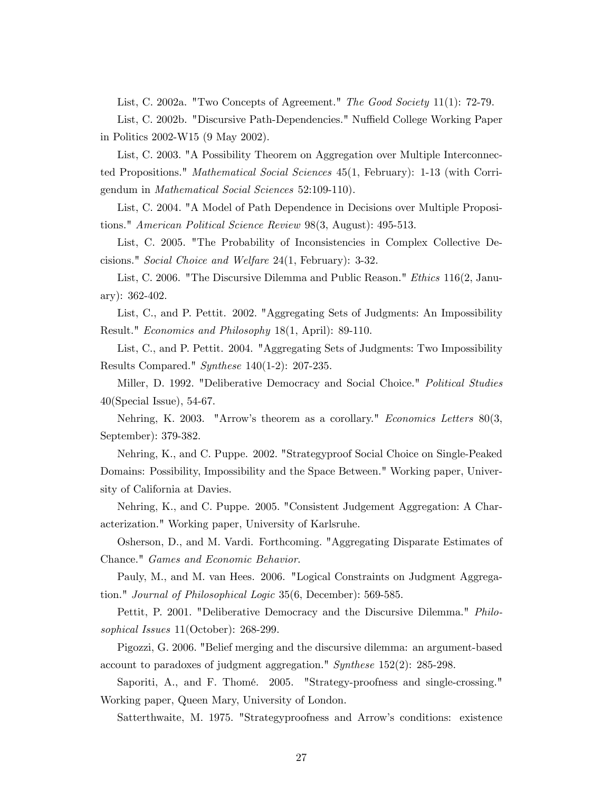List, C. 2002a. "Two Concepts of Agreement." The Good Society 11(1): 72-79.

List, C. 2002b. "Discursive Path-Dependencies." Nuffield College Working Paper in Politics 2002-W15 (9 May 2002).

List, C. 2003. "A Possibility Theorem on Aggregation over Multiple Interconnected Propositions." Mathematical Social Sciences 45(1, February): 1-13 (with Corrigendum in Mathematical Social Sciences 52:109-110).

List, C. 2004. "A Model of Path Dependence in Decisions over Multiple Propositions." American Political Science Review 98(3, August): 495-513.

List, C. 2005. "The Probability of Inconsistencies in Complex Collective Decisions." Social Choice and Welfare 24(1, February): 3-32.

List, C. 2006. "The Discursive Dilemma and Public Reason." *Ethics* 116(2, January): 362-402.

List, C., and P. Pettit. 2002. "Aggregating Sets of Judgments: An Impossibility Result." Economics and Philosophy 18(1, April): 89-110.

List, C., and P. Pettit. 2004. "Aggregating Sets of Judgments: Two Impossibility Results Compared." Synthese 140(1-2): 207-235.

Miller, D. 1992. "Deliberative Democracy and Social Choice." *Political Studies* 40(Special Issue), 54-67.

Nehring, K. 2003. "Arrow's theorem as a corollary." *Economics Letters* 80(3, September): 379-382.

Nehring, K., and C. Puppe. 2002. "Strategyproof Social Choice on Single-Peaked Domains: Possibility, Impossibility and the Space Between." Working paper, University of California at Davies.

Nehring, K., and C. Puppe. 2005. "Consistent Judgement Aggregation: A Characterization." Working paper, University of Karlsruhe.

Osherson, D., and M. Vardi. Forthcoming. "Aggregating Disparate Estimates of Chance." Games and Economic Behavior.

Pauly, M., and M. van Hees. 2006. "Logical Constraints on Judgment Aggregation." Journal of Philosophical Logic 35(6, December): 569-585.

Pettit, P. 2001. "Deliberative Democracy and the Discursive Dilemma." Philosophical Issues 11(October): 268-299.

Pigozzi, G. 2006. "Belief merging and the discursive dilemma: an argument-based account to paradoxes of judgment aggregation." Synthese 152(2): 285-298.

Saporiti, A., and F. Thomé. 2005. "Strategy-proofness and single-crossing." Working paper, Queen Mary, University of London.

Satterthwaite, M. 1975. "Strategyproofness and Arrowís conditions: existence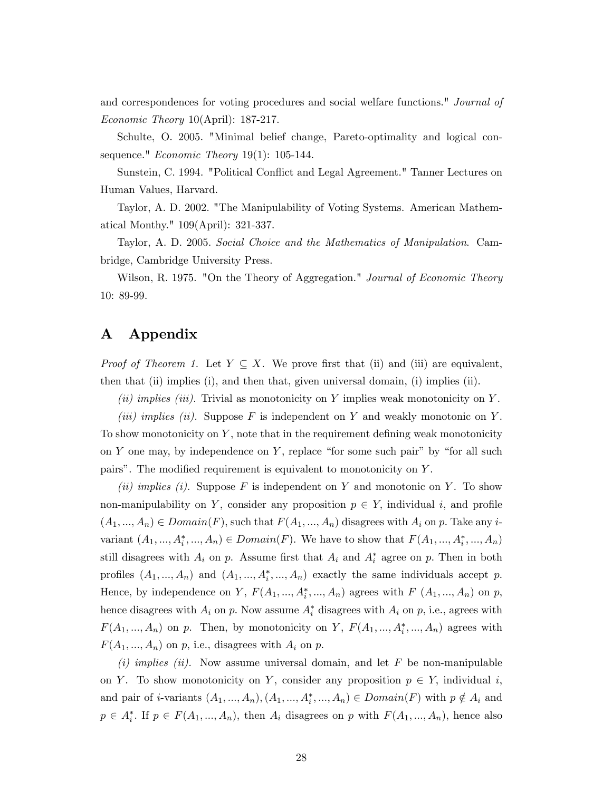and correspondences for voting procedures and social welfare functions." Journal of Economic Theory 10(April): 187-217.

Schulte, O. 2005. "Minimal belief change, Pareto-optimality and logical consequence." Economic Theory  $19(1)$ : 105-144.

Sunstein, C. 1994. "Political Conáict and Legal Agreement." Tanner Lectures on Human Values, Harvard.

Taylor, A. D. 2002. "The Manipulability of Voting Systems. American Mathematical Monthy." 109(April): 321-337.

Taylor, A. D. 2005. Social Choice and the Mathematics of Manipulation. Cambridge, Cambridge University Press.

Wilson, R. 1975. "On the Theory of Aggregation." Journal of Economic Theory 10: 89-99.

## A Appendix

*Proof of Theorem 1.* Let  $Y \subseteq X$ . We prove first that (ii) and (iii) are equivalent, then that (ii) implies (i), and then that, given universal domain, (i) implies (ii).

(ii) implies (iii). Trivial as monotonicity on Y implies weak monotonicity on Y.

(iii) implies (ii). Suppose F is independent on Y and weakly monotonic on Y. To show monotonicity on  $Y$ , note that in the requirement defining weak monotonicity on  $Y$  one may, by independence on  $Y$ , replace "for some such pair" by "for all such pairs". The modified requirement is equivalent to monotonicity on  $Y$ .

(ii) implies (i). Suppose F is independent on Y and monotonic on Y. To show non-manipulability on Y, consider any proposition  $p \in Y$ , individual i, and profile  $(A_1, ..., A_n) \in Domain(F)$ , such that  $F(A_1, ..., A_n)$  disagrees with  $A_i$  on p. Take any ivariant  $(A_1, ..., A_i^*, ..., A_n) \in Domain(F)$ . We have to show that  $F(A_1, ..., A_i^*, ..., A_n)$ still disagrees with  $A_i$  on p. Assume first that  $A_i$  and  $A_i^*$  agree on p. Then in both profiles  $(A_1, ..., A_n)$  and  $(A_1, ..., A_i^*, ..., A_n)$  exactly the same individuals accept p. Hence, by independence on Y,  $F(A_1, ..., A_i^*, ..., A_n)$  agrees with  $F(A_1, ..., A_n)$  on  $p$ , hence disagrees with  $A_i$  on p. Now assume  $A_i^*$  disagrees with  $A_i$  on p, i.e., agrees with  $F(A_1, ..., A_n)$  on p. Then, by monotonicity on Y,  $F(A_1, ..., A_i^*, ..., A_n)$  agrees with  $F(A_1, ..., A_n)$  on p, i.e., disagrees with  $A_i$  on p.

(i) implies (ii). Now assume universal domain, and let  $F$  be non-manipulable on Y. To show monotonicity on Y, consider any proposition  $p \in Y$ , individual i, and pair of *i*-variants  $(A_1, ..., A_n)$ ,  $(A_1, ..., A_i^*, ..., A_n) \in Domain(F)$  with  $p \notin A_i$  and  $p \in A_i^*$ . If  $p \in F(A_1, ..., A_n)$ , then  $A_i$  disagrees on p with  $F(A_1, ..., A_n)$ , hence also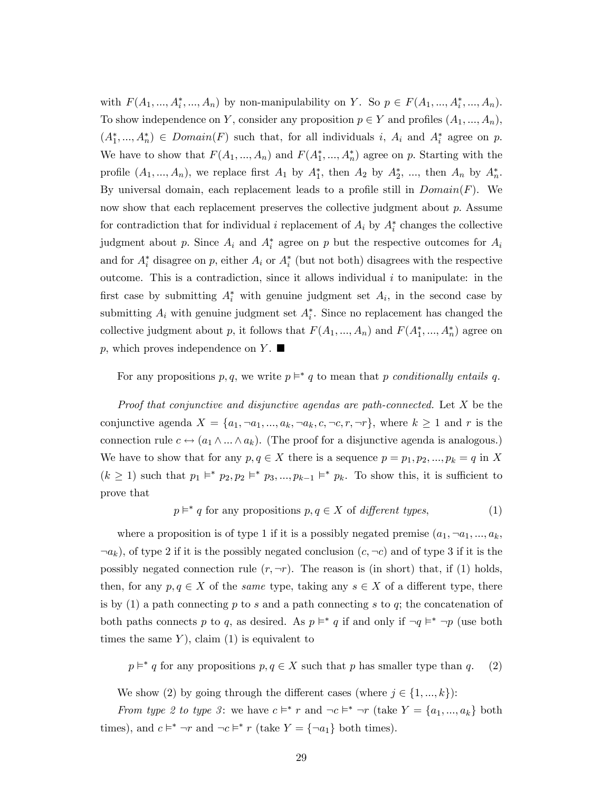with  $F(A_1, ..., A_i^*, ..., A_n)$  by non-manipulability on Y. So  $p \in F(A_1, ..., A_i^*, ..., A_n)$ . To show independence on Y, consider any proposition  $p \in Y$  and profiles  $(A_1, ..., A_n)$ ,  $(A_1^*,..., A_n^*) \in Domain(F)$  such that, for all individuals i,  $A_i$  and  $A_i^*$  agree on p. We have to show that  $F(A_1, ..., A_n)$  and  $F(A_1^*, ..., A_n^*)$  agree on p. Starting with the profile  $(A_1, ..., A_n)$ , we replace first  $A_1$  by  $A_1^*$ , then  $A_2$  by  $A_2^*$ , ..., then  $A_n$  by  $A_n^*$ . By universal domain, each replacement leads to a profile still in  $Domain(F)$ . We now show that each replacement preserves the collective judgment about  $p$ . Assume for contradiction that for individual *i* replacement of  $A_i$  by  $A_i^*$  changes the collective judgment about p. Since  $A_i$  and  $A_i^*$  agree on p but the respective outcomes for  $A_i$ and for  $A_i^*$  disagree on p, either  $A_i$  or  $A_i^*$  (but not both) disagrees with the respective outcome. This is a contradiction, since it allows individual  $i$  to manipulate: in the first case by submitting  $A_i^*$  with genuine judgment set  $A_i$ , in the second case by submitting  $A_i$  with genuine judgment set  $A_i^*$ . Since no replacement has changed the collective judgment about p, it follows that  $F(A_1, ..., A_n)$  and  $F(A_1^*, ..., A_n^*)$  agree on  $p$ , which proves independence on Y.  $\blacksquare$ 

For any propositions  $p, q$ , we write  $p \models^* q$  to mean that p conditionally entails q.

*Proof that conjunctive and disjunctive agendas are path-connected.* Let  $X$  be the conjunctive agenda  $X = \{a_1, \neg a_1, ..., a_k, \neg a_k, c, \neg c, r, \neg r\}$ , where  $k \ge 1$  and r is the connection rule  $c \leftrightarrow (a_1 \wedge ... \wedge a_k)$ . (The proof for a disjunctive agenda is analogous.) We have to show that for any  $p, q \in X$  there is a sequence  $p = p_1, p_2, ..., p_k = q$  in X  $(k \geq 1)$  such that  $p_1 \models^* p_2, p_2 \models^* p_3, ..., p_{k-1} \models^* p_k$ . To show this, it is sufficient to prove that

$$
p \models^* q \text{ for any propositions } p, q \in X \text{ of different types,}
$$
 (1)

where a proposition is of type 1 if it is a possibly negated premise  $(a_1, \neg a_1, \ldots, a_k;$  $\lnot a_k$ , of type 2 if it is the possibly negated conclusion  $(c,\lnot c)$  and of type 3 if it is the possibly negated connection rule  $(r, \neg r)$ . The reason is (in short) that, if (1) holds, then, for any  $p, q \in X$  of the *same* type, taking any  $s \in X$  of a different type, there is by  $(1)$  a path connecting p to s and a path connecting s to q; the concatenation of both paths connects p to q, as desired. As  $p \models^* q$  if and only if  $\neg q \models^* \neg p$  (use both times the same  $Y$ ), claim (1) is equivalent to

 $p \models^* q$  for any propositions  $p, q \in X$  such that p has smaller type than q. (2)

We show (2) by going through the different cases (where  $j \in \{1, ..., k\}$ ):

From type 2 to type 3: we have  $c \models^* r$  and  $\neg c \models^* \neg r$  (take  $Y = \{a_1, ..., a_k\}$  both times), and  $c \models^* \neg r$  and  $\neg c \models^* r$  (take  $Y = \{\neg a_1\}$  both times).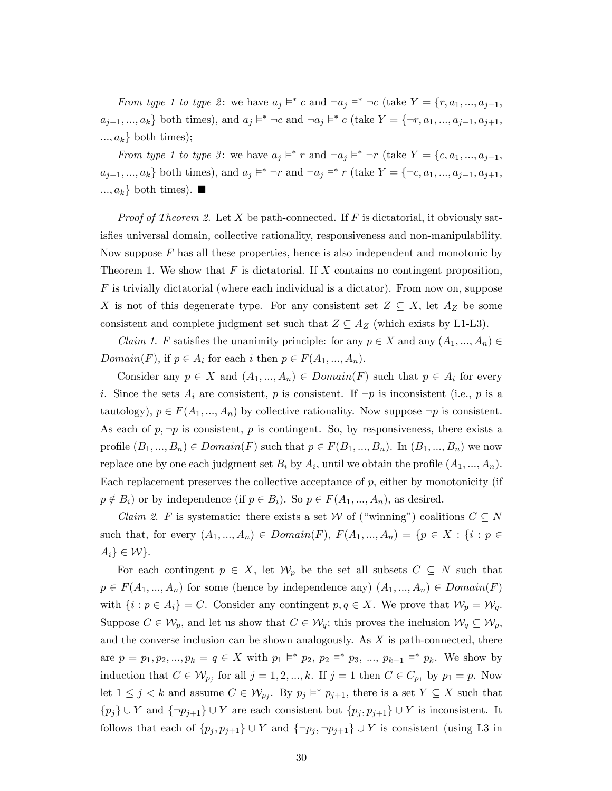From type 1 to type 2: we have  $a_j \models^* c$  and  $\neg a_j \models^* \neg c$  (take  $Y = \{r, a_1, ..., a_{j-1},\}$  $a_{j+1},..., a_k$  both times), and  $a_j \vDash^* \neg c$  and  $\neg a_j \vDash^* c$  (take  $Y = \{\neg r, a_1, ..., a_{j-1}, a_{j+1},\}$  $..., a_k$ } both times);

From type 1 to type 3: we have  $a_j \models^* r$  and  $\neg a_j \models^* \neg r$  (take  $Y = \{c, a_1, ..., a_{j-1},$  $a_{j+1},..., a_k$  both times), and  $a_j \vDash^* \neg r$  and  $\neg a_j \vDash^* r$  (take  $Y = \{\neg c, a_1, ..., a_{j-1}, a_{j+1},\}$  $..., a_k$  both times).

*Proof of Theorem 2.* Let X be path-connected. If F is dictatorial, it obviously satisfies universal domain, collective rationality, responsiveness and non-manipulability. Now suppose  $F$  has all these properties, hence is also independent and monotonic by Theorem 1. We show that  $F$  is dictatorial. If  $X$  contains no contingent proposition,  $F$  is trivially dictatorial (where each individual is a dictator). From now on, suppose X is not of this degenerate type. For any consistent set  $Z \subseteq X$ , let  $A_Z$  be some consistent and complete judgment set such that  $Z \subseteq A_Z$  (which exists by L1-L3).

*Claim 1.* F satisfies the unanimity principle: for any  $p \in X$  and any  $(A_1, ..., A_n)$ Domain(F), if  $p \in A_i$  for each i then  $p \in F(A_1, ..., A_n)$ .

Consider any  $p \in X$  and  $(A_1, ..., A_n) \in Domain(F)$  such that  $p \in A_i$  for every i. Since the sets  $A_i$  are consistent, p is consistent. If  $\neg p$  is inconsistent (i.e., p is a tautology),  $p \in F(A_1, ..., A_n)$  by collective rationality. Now suppose  $\neg p$  is consistent. As each of  $p, \neg p$  is consistent, p is contingent. So, by responsiveness, there exists a profile  $(B_1, ..., B_n) \in Domain(F)$  such that  $p \in F(B_1, ..., B_n)$ . In  $(B_1, ..., B_n)$  we now replace one by one each judgment set  $B_i$  by  $A_i$ , until we obtain the profile  $(A_1, ..., A_n)$ . Each replacement preserves the collective acceptance of  $p$ , either by monotonicity (if  $p \notin B_i$ ) or by independence (if  $p \in B_i$ ). So  $p \in F(A_1, ..., A_n)$ , as desired.

*Claim 2.* F is systematic: there exists a set W of ("winning") coalitions  $C \subseteq N$ such that, for every  $(A_1, ..., A_n) \in Domain(F)$ ,  $F(A_1, ..., A_n) = \{p \in X : \{i : p \in X\}$  $A_i \in \mathcal{W}$ .

For each contingent  $p \in X$ , let  $\mathcal{W}_p$  be the set all subsets  $C \subseteq N$  such that  $p \in F(A_1, ..., A_n)$  for some (hence by independence any)  $(A_1, ..., A_n) \in Domain(F)$ with  $\{i : p \in A_i\} = C$ . Consider any contingent  $p, q \in X$ . We prove that  $\mathcal{W}_p = \mathcal{W}_q$ . Suppose  $C \in \mathcal{W}_p$ , and let us show that  $C \in \mathcal{W}_q$ ; this proves the inclusion  $\mathcal{W}_q \subseteq \mathcal{W}_p$ , and the converse inclusion can be shown analogously. As  $X$  is path-connected, there are  $p = p_1, p_2, ..., p_k = q \in X$  with  $p_1 \models^* p_2, p_2 \models^* p_3, ..., p_{k-1} \models^* p_k$ . We show by induction that  $C \in \mathcal{W}_{p_j}$  for all  $j = 1, 2, ..., k$ . If  $j = 1$  then  $C \in C_{p_1}$  by  $p_1 = p$ . Now let  $1 \leq j \leq k$  and assume  $C \in W_{p_j}$ . By  $p_j \models^* p_{j+1}$ , there is a set  $Y \subseteq X$  such that  ${p_j} \cup Y$  and  ${\neg p_{j+1}} \cup Y$  are each consistent but  ${p_j, p_{j+1}} \cup Y$  is inconsistent. It follows that each of  $\{p_j, p_{j+1}\} \cup Y$  and  $\{\neg p_j, \neg p_{j+1}\} \cup Y$  is consistent (using L3 in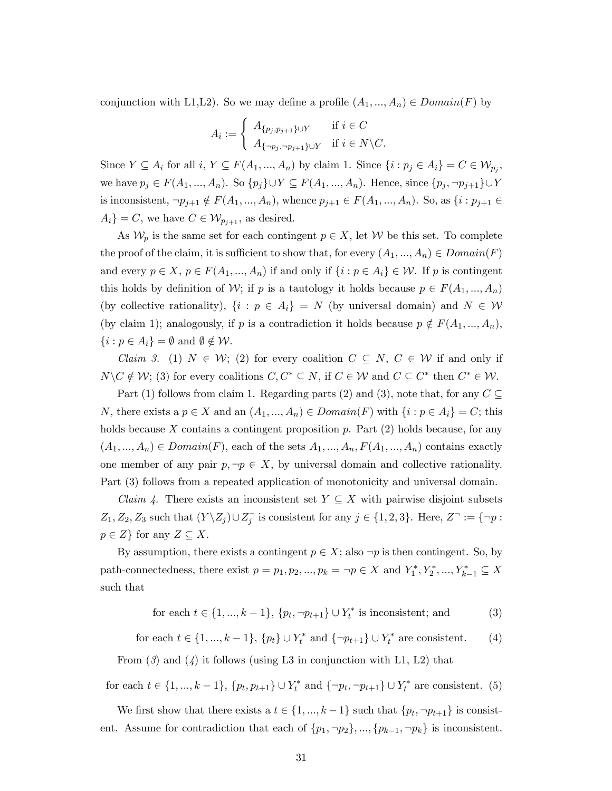conjunction with L1, L2). So we may define a profile  $(A_1, ..., A_n) \in Domain(F)$  by

$$
A_i := \begin{cases} A_{\{p_j, p_{j+1}\} \cup Y} & \text{if } i \in C \\ A_{\{\neg p_j, \neg p_{j+1}\} \cup Y} & \text{if } i \in N \backslash C. \end{cases}
$$

Since  $Y \subseteq A_i$  for all  $i, Y \subseteq F(A_1, ..., A_n)$  by claim 1. Since  $\{i : p_j \in A_i\} = C \in W_{p_j}$ , we have  $p_j \in F(A_1, ..., A_n)$ . So  $\{p_j\} \cup Y \subseteq F(A_1, ..., A_n)$ . Hence, since  $\{p_j, \neg p_{j+1}\} \cup Y$ is inconsistent,  $\neg p_{j+1} \notin F(A_1, ..., A_n)$ , whence  $p_{j+1} \in F(A_1, ..., A_n)$ . So, as  $\{i : p_{j+1} \in$  $A_i$ } = C, we have  $C \in \mathcal{W}_{p_{i+1}}$ , as desired.

As  $\mathcal{W}_p$  is the same set for each contingent  $p \in X$ , let W be this set. To complete the proof of the claim, it is sufficient to show that, for every  $(A_1, ..., A_n) \in Domain(F)$ and every  $p \in X$ ,  $p \in F(A_1, ..., A_n)$  if and only if  $\{i : p \in A_i\} \in \mathcal{W}$ . If p is contingent this holds by definition of W; if p is a tautology it holds because  $p \in F(A_1, ..., A_n)$ (by collective rationality),  $\{i : p \in A_i\} = N$  (by universal domain) and  $N \in W$ (by claim 1); analogously, if p is a contradiction it holds because  $p \notin F(A_1, ..., A_n)$ ,  ${i : p \in A_i} = \emptyset$  and  $\emptyset \notin \mathcal{W}$ .

*Claim 3.* (1)  $N \in \mathcal{W}$ ; (2) for every coalition  $C \subseteq N$ ,  $C \in \mathcal{W}$  if and only if  $N \backslash C \notin W$ ; (3) for every coalitions  $C, C^* \subseteq N$ , if  $C \in W$  and  $C \subseteq C^*$  then  $C^* \in W$ .

Part (1) follows from claim 1. Regarding parts (2) and (3), note that, for any  $C \subseteq$ N, there exists a  $p \in X$  and an  $(A_1, ..., A_n) \in Domain(F)$  with  $\{i : p \in A_i\} = C$ ; this holds because  $X$  contains a contingent proposition  $p$ . Part  $(2)$  holds because, for any  $(A_1, ..., A_n) \in Domain(F)$ , each of the sets  $A_1, ..., A_n$ ,  $F(A_1, ..., A_n)$  contains exactly one member of any pair  $p, \neg p \in X$ , by universal domain and collective rationality. Part (3) follows from a repeated application of monotonicity and universal domain.

*Claim 4.* There exists an inconsistent set  $Y \subseteq X$  with pairwise disjoint subsets  $Z_1, Z_2, Z_3$  such that  $(Y \setminus Z_j) \cup Z_j^-$  is consistent for any  $j \in \{1, 2, 3\}$ . Here,  $Z^- := \{\neg p :$  $p \in Z$  for any  $Z \subseteq X$ .

By assumption, there exists a contingent  $p \in X$ ; also  $\neg p$  is then contingent. So, by path-connectedness, there exist  $p = p_1, p_2, ..., p_k = \neg p \in X$  and  $Y_1^*, Y_2^*, ..., Y_{k-1}^* \subseteq X$ such that

for each 
$$
t \in \{1, ..., k-1\}
$$
,  $\{p_t, \neg p_{t+1}\} \cup Y_t^*$  is inconsistent; and (3)

for each  $t \in \{1, ..., k - 1\}$ ,  $\{p_t\} \cup Y_t^*$  and  $\{\neg p_{t+1}\} \cup Y_t^*$  are consistent. (4)

From  $(3)$  and  $(4)$  it follows (using L3 in conjunction with L1, L2) that

for each  $t \in \{1, ..., k - 1\}$ ,  $\{p_t, p_{t+1}\} \cup Y_t^*$  and  $\{\neg p_t, \neg p_{t+1}\} \cup Y_t^*$  are consistent. (5)

We first show that there exists a  $t \in \{1, ..., k - 1\}$  such that  $\{p_t, \neg p_{t+1}\}$  is consistent. Assume for contradiction that each of  $\{p_1, \neg p_2\}, ..., \{p_{k-1}, \neg p_k\}$  is inconsistent.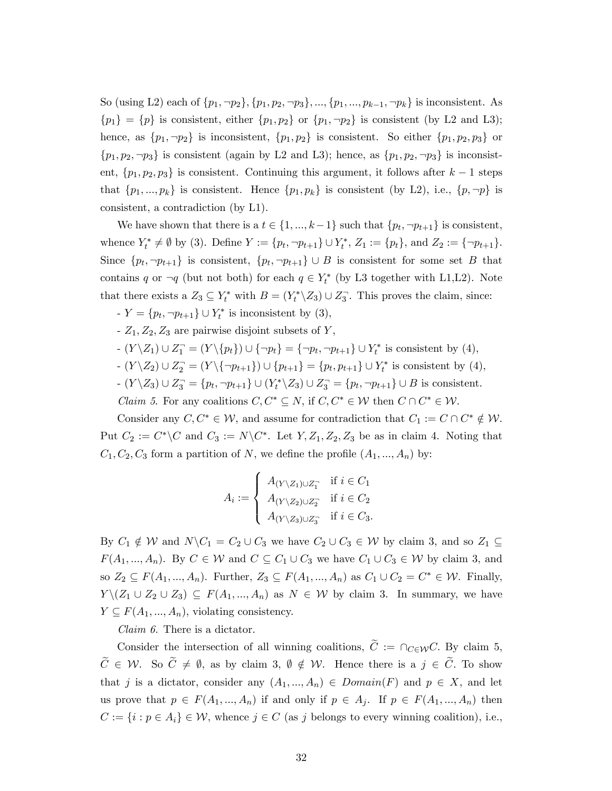So (using L2) each of  $\{p_1, \neg p_2\}, \{p_1, p_2, \neg p_3\}, ..., \{p_1, ..., p_{k-1}, \neg p_k\}$  is inconsistent. As  ${p_1} = {p}$  is consistent, either  ${p_1, p_2}$  or  ${p_1, \neg p_2}$  is consistent (by L2 and L3); hence, as  $\{p_1, \neg p_2\}$  is inconsistent,  $\{p_1, p_2\}$  is consistent. So either  $\{p_1, p_2, p_3\}$  or  ${p_1, p_2, \neg p_3}$  is consistent (again by L2 and L3); hence, as  ${p_1, p_2, \neg p_3}$  is inconsistent,  $\{p_1, p_2, p_3\}$  is consistent. Continuing this argument, it follows after  $k-1$  steps that  $\{p_1,...,p_k\}$  is consistent. Hence  $\{p_1,p_k\}$  is consistent (by L2), i.e.,  $\{p,\neg p\}$  is consistent, a contradiction (by L1).

We have shown that there is a  $t \in \{1, ..., k-1\}$  such that  $\{p_t, \neg p_{t+1}\}$  is consistent, whence  $Y_t^* \neq \emptyset$  by (3). Define  $Y := \{p_t, \neg p_{t+1}\} \cup Y_t^*, Z_1 := \{p_t\}$ , and  $Z_2 := \{\neg p_{t+1}\}.$ Since  $\{p_t, \neg p_{t+1}\}\$ is consistent,  $\{p_t, \neg p_{t+1}\} \cup B$  is consistent for some set B that contains q or  $\neg q$  (but not both) for each  $q \in Y_t^*$  (by L3 together with L1,L2). Note that there exists a  $Z_3 \subseteq Y_t^*$  with  $B = (Y_t^* \backslash Z_3) \cup Z_3^-$ . This proves the claim, since:

- $Y = \{p_t, \neg p_{t+1}\} \cup Y_t^*$  is inconsistent by (3),
- $-Z_1, Z_2, Z_3$  are pairwise disjoint subsets of Y,
- $I (Y \setminus Z_1) \cup Z_1^- = (Y \setminus \{p_t\}) \cup \{\neg p_t\} = \{\neg p_t, \neg p_{t+1}\} \cup Y_t^*$  is consistent by (4),
- $\mathcal{L}\{Y \setminus Z_2\} \cup Z_2^- = (\mathcal{Y} \setminus {\setminus \{\neg p_{t+1}\}} \cup \{p_{t+1}\} = \{p_t, p_{t+1}\} \cup Y_t^*$  is consistent by (4),
- $I_1(Y \setminus Z_3) \cup Z_3^- = \{p_t, \neg p_{t+1}\} \cup (Y_t^* \setminus Z_3) \cup Z_3^- = \{p_t, \neg p_{t+1}\} \cup B$  is consistent.

*Claim 5.* For any coalitions  $C, C^* \subseteq N$ , if  $C, C^* \in \mathcal{W}$  then  $C \cap C^* \in \mathcal{W}$ .

Consider any  $C, C^* \in \mathcal{W}$ , and assume for contradiction that  $C_1 := C \cap C^* \notin \mathcal{W}$ . Put  $C_2 := C^* \backslash C$  and  $C_3 := N \backslash C^*$ . Let  $Y, Z_1, Z_2, Z_3$  be as in claim 4. Noting that  $C_1, C_2, C_3$  form a partition of N, we define the profile  $(A_1, ..., A_n)$  by:

$$
A_i:=\left\{\begin{array}{ll} A_{(Y\backslash Z_1)\cup Z_1^-} & \text{if } i\in C_1\\[2mm] A_{(Y\backslash Z_2)\cup Z_2^-} & \text{if } i\in C_2\\[2mm] A_{(Y\backslash Z_3)\cup Z_3^-} & \text{if } i\in C_3. \end{array}\right.
$$

By  $C_1 \notin W$  and  $N \setminus C_1 = C_2 \cup C_3$  we have  $C_2 \cup C_3 \in W$  by claim 3, and so  $Z_1 \subseteq$  $F(A_1, ..., A_n)$ . By  $C \in \mathcal{W}$  and  $C \subseteq C_1 \cup C_3$  we have  $C_1 \cup C_3 \in \mathcal{W}$  by claim 3, and so  $Z_2 \subseteq F(A_1, ..., A_n)$ . Further,  $Z_3 \subseteq F(A_1, ..., A_n)$  as  $C_1 \cup C_2 = C^* \in W$ . Finally,  $Y \setminus (Z_1 \cup Z_2 \cup Z_3) \subseteq F(A_1, ..., A_n)$  as  $N \in \mathcal{W}$  by claim 3. In summary, we have  $Y \subseteq F(A_1, ..., A_n)$ , violating consistency.

Claim 6. There is a dictator.

Consider the intersection of all winning coalitions,  $\widetilde{C} := \bigcap_{C \in \mathcal{W}} C$ . By claim 5,  $\widetilde{C} \in \mathcal{W}$ . So  $\widetilde{C} \neq \emptyset$ , as by claim 3,  $\emptyset \notin \mathcal{W}$ . Hence there is a  $j \in \widetilde{C}$ . To show that j is a dictator, consider any  $(A_1, ..., A_n) \in Domain(F)$  and  $p \in X$ , and let us prove that  $p \in F(A_1, ..., A_n)$  if and only if  $p \in A_j$ . If  $p \in F(A_1, ..., A_n)$  then  $C := \{i : p \in A_i\} \in \mathcal{W}$ , whence  $j \in C$  (as j belongs to every winning coalition), i.e.,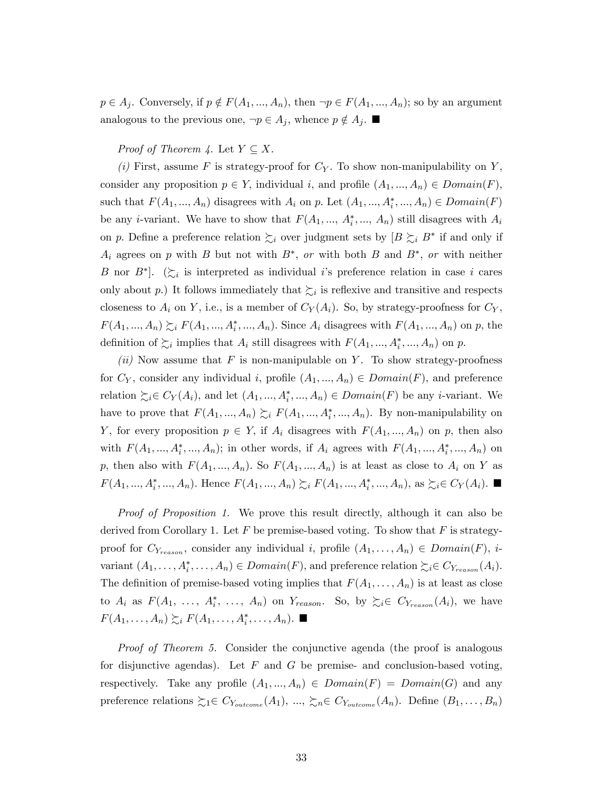$p \in A_j$ . Conversely, if  $p \notin F(A_1, ..., A_n)$ , then  $\neg p \in F(A_1, ..., A_n)$ ; so by an argument analogous to the previous one,  $\neg p \in A_j$ , whence  $p \notin A_j$ .

*Proof of Theorem 4.* Let  $Y \subseteq X$ .

(i) First, assume F is strategy-proof for  $C_Y$ . To show non-manipulability on Y, consider any proposition  $p \in Y$ , individual i, and profile  $(A_1, ..., A_n) \in Domain(F)$ , such that  $F(A_1, ..., A_n)$  disagrees with  $A_i$  on p. Let  $(A_1, ..., A_i^*, ..., A_n) \in Domain(F)$ be any *i*-variant. We have to show that  $F(A_1, ..., A_i^*, ..., A_n)$  still disagrees with  $A_i$ on p. Define a preference relation  $\succsim_i$  over judgment sets by  $[B \succeq_i B^*]$  if and only if  $A_i$  agrees on p with B but not with  $B^*$ , or with both B and  $B^*$ , or with neither B nor  $B^*$ ]. ( $\succsim_i$  is interpreted as individual is preference relation in case i cares only about p.) It follows immediately that  $\sum_{i}$  is reflexive and transitive and respects closeness to  $A_i$  on Y, i.e., is a member of  $C_Y(A_i)$ . So, by strategy-proofness for  $C_Y$ ,  $F(A_1, ..., A_n) \succsim_i F(A_1, ..., A_i^*, ..., A_n)$ . Since  $A_i$  disagrees with  $F(A_1, ..., A_n)$  on p, the definition of  $\succsim_i$  implies that  $A_i$  still disagrees with  $F(A_1, ..., A_i^*, ..., A_n)$  on p.

(ii) Now assume that F is non-manipulable on Y. To show strategy-proofness for  $C_Y$ , consider any individual i, profile  $(A_1, ..., A_n) \in Domain(F)$ , and preference relation  $\zeta_i \in C_Y(A_i)$ , and let  $(A_1, ..., A_i^*, ..., A_n) \in Domain(F)$  be any *i*-variant. We have to prove that  $F(A_1, ..., A_n) \succeq_i F(A_1, ..., A_i^*, ..., A_n)$ . By non-manipulability on Y, for every proposition  $p \in Y$ , if  $A_i$  disagrees with  $F(A_1, ..., A_n)$  on p, then also with  $F(A_1, ..., A_i^*, ..., A_n)$ ; in other words, if  $A_i$  agrees with  $F(A_1, ..., A_i^*, ..., A_n)$  on p, then also with  $F(A_1, ..., A_n)$ . So  $F(A_1, ..., A_n)$  is at least as close to  $A_i$  on Y as  $F(A_1, ..., A_i^*, ..., A_n)$ . Hence  $F(A_1, ..., A_n) \succsim_i F(A_1, ..., A_i^*, ..., A_n)$ , as  $\succsim_i \in C_Y(A_i)$ .

Proof of Proposition 1. We prove this result directly, although it can also be derived from Corollary 1. Let  $F$  be premise-based voting. To show that  $F$  is strategyproof for  $C_{Y_{reason}}$ , consider any individual i, profile  $(A_1, \ldots, A_n) \in Domain(F)$ , ivariant  $(A_1, \ldots, A_i^*, \ldots, A_n) \in Domain(F)$ , and preference relation  $\succsim_i \in C_{Y_{reason}}(A_i)$ . The definition of premise-based voting implies that  $F(A_1, \ldots, A_n)$  is at least as close to  $A_i$  as  $F(A_1, \ldots, A_i^*, \ldots, A_n)$  on  $Y_{reason}$ . So, by  $\succsim_i \in C_{Y_{reason}}(A_i)$ , we have  $F(A_1,\ldots,A_n) \succsim_i F(A_1,\ldots,A_i^*,\ldots,A_n).$ 

Proof of Theorem 5. Consider the conjunctive agenda (the proof is analogous for disjunctive agendas). Let  $F$  and  $G$  be premise- and conclusion-based voting, respectively. Take any profile  $(A_1, ..., A_n) \in Domain(F) = Domain(G)$  and any preference relations  $\sum_{1} \in C_{Y_{outcome}}(A_1), ..., \sum_{n} \in C_{Y_{outcome}}(A_n)$ . Define  $(B_1, ..., B_n)$